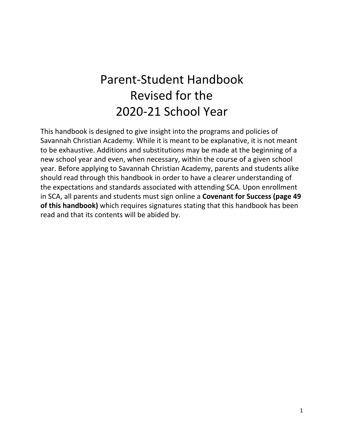# Parent-Student Handbook Revised for the 2020-21 School Year

This handbook is designed to give insight into the programs and policies of Savannah Christian Academy. While it is meant to be explanative, it is not meant to be exhaustive. Additions and substitutions may be made at the beginning of a new school year and even, when necessary, within the course of a given school year. Before applying to Savannah Christian Academy, parents and students alike should read through this handbook in order to have a clearer understanding of the expectations and standards associated with attending SCA. Upon enrollment in SCA, all parents and students must sign online a **Covenant for Success (page 49 of this handbook)** which requires signatures stating that this handbook has been read and that its contents will be abided by.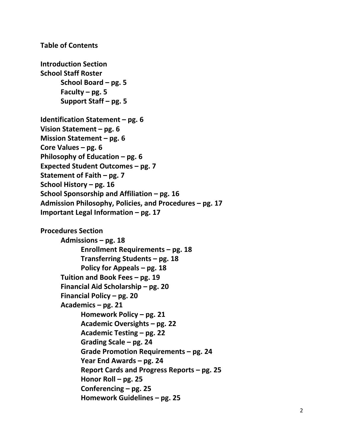**Table of Contents Introduction Section School Staff Roster School Board – pg. 5 Faculty – pg. 5 Support Staff – pg. 5 Identification Statement – pg. 6 Vision Statement – pg. 6 Mission Statement – pg. 6 Core Values – pg. 6 Philosophy of Education – pg. 6 Expected Student Outcomes – pg. 7 Statement of Faith – pg. 7 School History – pg. 16 School Sponsorship and Affiliation – pg. 16 Admission Philosophy, Policies, and Procedures – pg. 17 Important Legal Information – pg. 17 Procedures Section Admissions – pg. 18 Enrollment Requirements – pg. 18 Transferring Students – pg. 18 Policy for Appeals – pg. 18 Tuition and Book Fees – pg. 19 Financial Aid Scholarship – pg. 20 Financial Policy – pg. 20 Academics – pg. 21 Homework Policy – pg. 21 Academic Oversights – pg. 22 Academic Testing – pg. 22 Grading Scale – pg. 24 Grade Promotion Requirements – pg. 24 Year End Awards – pg. 24 Report Cards and Progress Reports – pg. 25 Honor Roll – pg. 25 Conferencing – pg. 25 Homework Guidelines – pg. 25**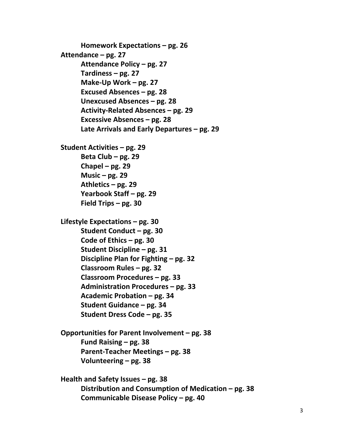**Homework Expectations – pg. 26 Attendance – pg. 27 Attendance Policy – pg. 27 Tardiness – pg. 27 Make-Up Work – pg. 27 Excused Absences – pg. 28 Unexcused Absences – pg. 28 Activity-Related Absences – pg. 29 Excessive Absences – pg. 28 Late Arrivals and Early Departures – pg. 29 Student Activities – pg. 29 Beta Club – pg. 29 Chapel – pg. 29 Music – pg. 29 Athletics – pg. 29 Yearbook Staff – pg. 29 Field Trips – pg. 30 Lifestyle Expectations – pg. 30 Student Conduct – pg. 30 Code of Ethics – pg. 30 Student Discipline – pg. 31 Discipline Plan for Fighting – pg. 32 Classroom Rules – pg. 32 Classroom Procedures – pg. 33 Administration Procedures – pg. 33 Academic Probation – pg. 34 Student Guidance – pg. 34 Student Dress Code – pg. 35 Opportunities for Parent Involvement – pg. 38 Fund Raising – pg. 38 Parent-Teacher Meetings – pg. 38 Volunteering – pg. 38 Health and Safety Issues – pg. 38 Distribution and Consumption of Medication – pg. 38 Communicable Disease Policy – pg. 40**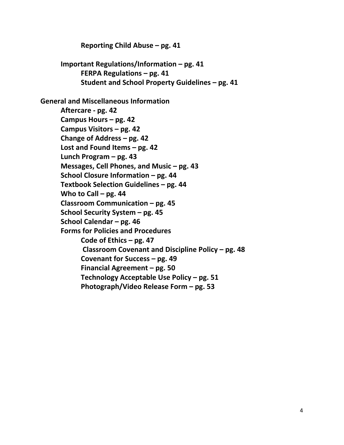**Reporting Child Abuse – pg. 41 Important Regulations/Information – pg. 41 FERPA Regulations – pg. 41 Student and School Property Guidelines – pg. 41 General and Miscellaneous Information Aftercare - pg. 42 Campus Hours – pg. 42 Campus Visitors – pg. 42 Change of Address – pg. 42 Lost and Found Items – pg. 42 Lunch Program – pg. 43 Messages, Cell Phones, and Music – pg. 43 School Closure Information – pg. 44 Textbook Selection Guidelines – pg. 44 Who to Call – pg. 44 Classroom Communication – pg. 45 School Security System – pg. 45 School Calendar – pg. 46 Forms for Policies and Procedures Code of Ethics – pg. 47 Classroom Covenant and Discipline Policy – pg. 48 Covenant for Success – pg. 49 Financial Agreement – pg. 50 Technology Acceptable Use Policy – pg. 51 Photograph/Video Release Form – pg. 53**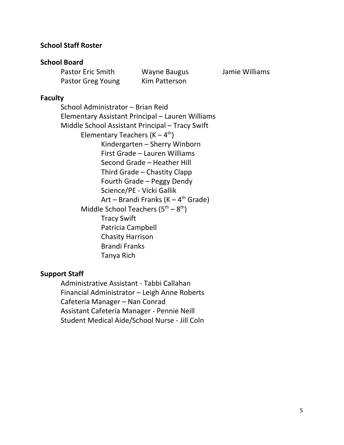## **School Staff Roster**

## **School Board**

| <b>Pastor Eric Smith</b> | <b>Wayne Baugus</b> |
|--------------------------|---------------------|
| Pastor Greg Young        | Kim Patterson       |

Jamie Williams

## **Faculty**

School Administrator – Brian Reid Elementary Assistant Principal – Lauren Williams Middle School Assistant Principal – Tracy Swift Elementary Teachers  $(K-4<sup>th</sup>)$ Kindergarten – Sherry Winborn First Grade – Lauren Williams Second Grade – Heather Hill Third Grade – Chastity Clapp Fourth Grade – Peggy Dendy Science/PE - Vicki Gallik Art – Brandi Franks (K – 4<sup>th</sup> Grade) Middle School Teachers  $(5<sup>th</sup> - 8<sup>th</sup>)$ Tracy Swift Patricia Campbell Chasity Harrison Brandi Franks Tanya Rich

## **Support Staff**

Administrative Assistant - Tabbi Callahan Financial Administrator – Leigh Anne Roberts Cafeteria Manager – Nan Conrad Assistant Cafeteria Manager - Pennie Neill Student Medical Aide/School Nurse - Jill Coln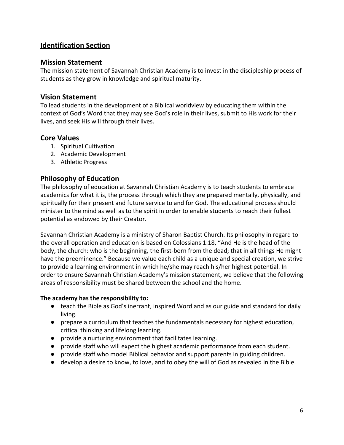## **Identification Section**

## **Mission Statement**

The mission statement of Savannah Christian Academy is to invest in the discipleship process of students as they grow in knowledge and spiritual maturity.

## **Vision Statement**

To lead students in the development of a Biblical worldview by educating them within the context of God's Word that they may see God's role in their lives, submit to His work for their lives, and seek His will through their lives.

## **Core Values**

- 1. Spiritual Cultivation
- 2. Academic Development
- 3. Athletic Progress

## **Philosophy of Education**

The philosophy of education at Savannah Christian Academy is to teach students to embrace academics for what it is, the process through which they are prepared mentally, physically, and spiritually for their present and future service to and for God. The educational process should minister to the mind as well as to the spirit in order to enable students to reach their fullest potential as endowed by their Creator.

Savannah Christian Academy is a ministry of Sharon Baptist Church. Its philosophy in regard to the overall operation and education is based on Colossians 1:18, "And He is the head of the body, the church: who is the beginning, the first-born from the dead; that in all things He might have the preeminence." Because we value each child as a unique and special creation, we strive to provide a learning environment in which he/she may reach his/her highest potential. In order to ensure Savannah Christian Academy's mission statement, we believe that the following areas of responsibility must be shared between the school and the home.

## **The academy has the responsibility to:**

- **●** teach the Bible as God's inerrant, inspired Word and as our guide and standard for daily living.
- prepare a curriculum that teaches the fundamentals necessary for highest education, critical thinking and lifelong learning.
- provide a nurturing environment that facilitates learning.
- provide staff who will expect the highest academic performance from each student.
- provide staff who model Biblical behavior and support parents in guiding children.
- develop a desire to know, to love, and to obey the will of God as revealed in the Bible.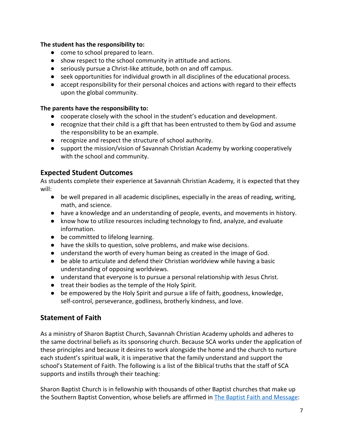#### **The student has the responsibility to:**

- **●** come to school prepared to learn.
- **●** show respect to the school community in attitude and actions.
- **●** seriously pursue a Christ-like attitude, both on and off campus.
- **●** seek opportunities for individual growth in all disciplines of the educational process.
- **●** accept responsibility for their personal choices and actions with regard to their effects upon the global community.

#### **The parents have the responsibility to:**

- cooperate closely with the school in the student's education and development.
- recognize that their child is a gift that has been entrusted to them by God and assume the responsibility to be an example.
- recognize and respect the structure of school authority.
- support the mission/vision of Savannah Christian Academy by working cooperatively with the school and community.

## **Expected Student Outcomes**

As students complete their experience at Savannah Christian Academy*,* it is expected that they will:

- be well prepared in all academic disciplines, especially in the areas of reading, writing, math, and science.
- have a knowledge and an understanding of people, events, and movements in history.
- know how to utilize resources including technology to find, analyze, and evaluate information.
- be committed to lifelong learning.
- have the skills to question, solve problems, and make wise decisions.
- understand the worth of every human being as created in the image of God.
- be able to articulate and defend their Christian worldview while having a basic understanding of opposing worldviews.
- understand that everyone is to pursue a personal relationship with Jesus Christ.
- treat their bodies as the temple of the Holy Spirit.
- be empowered by the Holy Spirit and pursue a life of faith, goodness, knowledge, self-control, perseverance, godliness, brotherly kindness, and love.

## **Statement of Faith**

As a ministry of Sharon Baptist Church, Savannah Christian Academy upholds and adheres to the same doctrinal beliefs as its sponsoring church. Because SCA works under the application of these principles and because it desires to work alongside the home and the church to nurture each student's spiritual walk, it is imperative that the family understand and support the school's Statement of Faith. The following is a list of the Biblical truths that the staff of SCA supports and instills through their teaching:

Sharon Baptist Church is in fellowship with thousands of other Baptist churches that make up the Southern Baptist Convention, whose beliefs are affirmed in **[The Baptist Faith and Message](http://www.sbc.net/bfm2000/bfm2000.asp)**: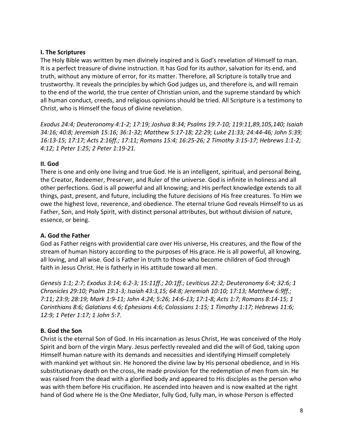#### **I. The Scriptures**

The Holy Bible was written by men divinely inspired and is God's revelation of Himself to man. It is a perfect treasure of divine instruction. It has God for its author, salvation for its end, and truth, without any mixture of error, for its matter. Therefore, all Scripture is totally true and trustworthy. It reveals the principles by which God judges us, and therefore is, and will remain to the end of the world, the true center of Christian union, and the supreme standard by which all human conduct, creeds, and religious opinions should be tried. All Scripture is a testimony to Christ, who is Himself the focus of divine revelation.

*Exodus 24:4; Deuteronomy 4:1-2; 17:19; Joshua 8:34; Psalms 19:7-10; 119:11,89,105,140; Isaiah 34:16; 40:8; Jeremiah 15:16; 36:1-32; Matthew 5:17-18; 22:29; Luke 21:33; 24:44-46; John 5:39; 16:13-15; 17:17; Acts 2:16ff.; 17:11; Romans 15:4; 16:25-26; 2 Timothy 3:15-17; Hebrews 1:1-2; 4:12; 1 Peter 1:25; 2 Peter 1:19-21.*

#### **II. God**

There is one and only one living and true God. He is an intelligent, spiritual, and personal Being, the Creator, Redeemer, Preserver, and Ruler of the universe. God is infinite in holiness and all other perfections. God is all powerful and all knowing; and His perfect knowledge extends to all things, past, present, and future, including the future decisions of His free creatures. To Him we owe the highest love, reverence, and obedience. The eternal triune God reveals Himself to us as Father, Son, and Holy Spirit, with distinct personal attributes, but without division of nature, essence, or being.

## **A. God the Father**

God as Father reigns with providential care over His universe, His creatures, and the flow of the stream of human history according to the purposes of His grace. He is all powerful, all knowing, all loving, and all wise. God is Father in truth to those who become children of God through faith in Jesus Christ. He is fatherly in His attitude toward all men.

*Genesis 1:1; 2:7; Exodus 3:14; 6:2-3; 15:11ff.; 20:1ff.; Leviticus 22:2; Deuteronomy 6:4; 32:6; 1 Chronicles 29:10; Psalm 19:1-3; Isaiah 43:3,15; 64:8; Jeremiah 10:10; 17:13; Matthew 6:9ff.; 7:11; 23:9; 28:19; Mark 1:9-11; John 4:24; 5:26; 14:6-13; 17:1-8; Acts 1:7; Romans 8:14-15; 1 Corinthians 8:6; Galatians 4:6; Ephesians 4:6; Colossians 1:15; 1 Timothy 1:17; Hebrews 11:6; 12:9; 1 Peter 1:17; 1 John 5:7.*

## **B. God the Son**

Christ is the eternal Son of God. In His incarnation as Jesus Christ, He was conceived of the Holy Spirit and born of the virgin Mary. Jesus perfectly revealed and did the will of God, taking upon Himself human nature with its demands and necessities and identifying Himself completely with mankind yet without sin. He honored the divine law by His personal obedience, and in His substitutionary death on the cross, He made provision for the redemption of men from sin. He was raised from the dead with a glorified body and appeared to His disciples as the person who was with them before His crucifixion. He ascended into heaven and is now exalted at the right hand of God where He is the One Mediator, fully God, fully man, in whose Person is effected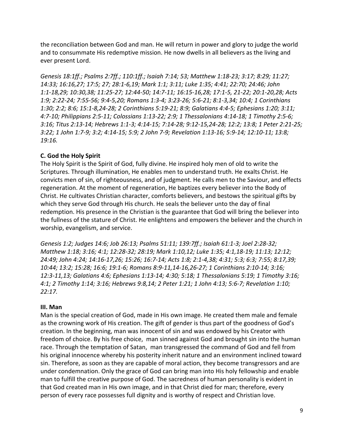the reconciliation between God and man. He will return in power and glory to judge the world and to consummate His redemptive mission. He now dwells in all believers as the living and ever present Lord.

*Genesis 18:1ff.; Psalms 2:7ff.; 110:1ff.; Isaiah 7:14; 53; Matthew 1:18-23; 3:17; 8:29; 11:27; 14:33; 16:16,27; 17:5; 27; 28:1-6,19; Mark 1:1; 3:11; Luke 1:35; 4:41; 22:70; 24:46; John 1:1-18,29; 10:30,38; 11:25-27; 12:44-50; 14:7-11; 16:15-16,28; 17:1-5, 21-22; 20:1-20,28; Acts 1:9; 2:22-24; 7:55-56; 9:4-5,20; Romans 1:3-4; 3:23-26; 5:6-21; 8:1-3,34; 10:4; 1 Corinthians 1:30; 2:2; 8:6; 15:1-8,24-28; 2 Corinthians 5:19-21; 8:9; Galatians 4:4-5; Ephesians 1:20; 3:11; 4:7-10; Philippians 2:5-11; Colossians 1:13-22; 2:9; 1 Thessalonians 4:14-18; 1 Timothy 2:5-6; 3:16; Titus 2:13-14; Hebrews 1:1-3; 4:14-15; 7:14-28; 9:12-15,24-28; 12:2; 13:8; 1 Peter 2:21-25; 3:22; 1 John 1:7-9; 3:2; 4:14-15; 5:9; 2 John 7-9; Revelation 1:13-16; 5:9-14; 12:10-11; 13:8; 19:16.*

## **C. God the Holy Spirit**

The Holy Spirit is the Spirit of God, fully divine. He inspired holy men of old to write the Scriptures. Through illumination, He enables men to understand truth. He exalts Christ. He convicts men of sin, of righteousness, and of judgment. He calls men to the Saviour, and effects regeneration. At the moment of regeneration, He baptizes every believer into the Body of Christ. He cultivates Christian character, comforts believers, and bestows the spiritual gifts by which they serve God through His church. He seals the believer unto the day of final redemption. His presence in the Christian is the guarantee that God will bring the believer into the fullness of the stature of Christ. He enlightens and empowers the believer and the church in worship, evangelism, and service.

*Genesis 1:2; Judges 14:6; Job 26:13; Psalms 51:11; 139:7ff.; Isaiah 61:1-3; Joel 2:28-32; Matthew 1:18; 3:16; 4:1; 12:28-32; 28:19; Mark 1:10,12; Luke 1:35; 4:1,18-19; 11:13; 12:12; 24:49; John 4:24; 14:16-17,26; 15:26; 16:7-14; Acts 1:8; 2:1-4,38; 4:31; 5:3; 6:3; 7:55; 8:17,39; 10:44; 13:2; 15:28; 16:6; 19:1-6; Romans 8:9-11,14-16,26-27; 1 Corinthians 2:10-14; 3:16; 12:3-11,13; Galatians 4:6; Ephesians 1:13-14; 4:30; 5:18; 1 Thessalonians 5:19; 1 Timothy 3:16; 4:1; 2 Timothy 1:14; 3:16; Hebrews 9:8,14; 2 Peter 1:21; 1 John 4:13; 5:6-7; Revelation 1:10; 22:17.*

## **III. Man**

Man is the special creation of God, made in His own image. He created them male and female as the crowning work of His creation. The gift of gender is thus part of the goodness of God's creation. In the beginning, man was innocent of sin and was endowed by his Creator with freedom of choice. By his free choice, man sinned against God and brought sin into the human race. Through the temptation of Satan, man transgressed the command of God and fell from his original innocence whereby his posterity inherit nature and an environment inclined toward sin. Therefore, as soon as they are capable of moral action, they become transgressors and are under condemnation. Only the grace of God can bring man into His holy fellowship and enable man to fulfill the creative purpose of God. The sacredness of human personality is evident in that God created man in His own image, and in that Christ died for man; therefore, every person of every race possesses full dignity and is worthy of respect and Christian love.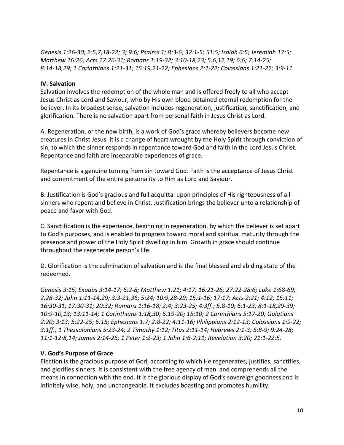*Genesis 1:26-30; 2:5,7,18-22; 3; 9:6; Psalms 1; 8:3-6; 32:1-5; 51:5; Isaiah 6:5; Jeremiah 17:5; Matthew 16:26; Acts 17:26-31; Romans 1:19-32; 3:10-18,23; 5:6,12,19; 6:6; 7:14-25; 8:14-18,29; 1 Corinthians 1:21-31; 15:19,21-22; Ephesians 2:1-22; Colossians 1:21-22; 3:9-11.*

#### **IV. Salvation**

Salvation involves the redemption of the whole man and is offered freely to all who accept Jesus Christ as Lord and Saviour, who by His own blood obtained eternal redemption for the believer. In its broadest sense, salvation includes regeneration, justification, sanctification, and glorification. There is no salvation apart from personal faith in Jesus Christ as Lord.

A. Regeneration, or the new birth, is a work of God's grace whereby believers become new creatures in Christ Jesus. It is a change of heart wrought by the Holy Spirit through conviction of sin, to which the sinner responds in repentance toward God and faith in the Lord Jesus Christ. Repentance and faith are inseparable experiences of grace.

Repentance is a genuine turning from sin toward God. Faith is the acceptance of Jesus Christ and commitment of the entire personality to Him as Lord and Saviour.

B. Justification is God's gracious and full acquittal upon principles of His righteousness of all sinners who repent and believe in Christ. Justification brings the believer unto a relationship of peace and favor with God.

C. Sanctification is the experience, beginning in regeneration, by which the believer is set apart to God's purposes, and is enabled to progress toward moral and spiritual maturity through the presence and power of the Holy Spirit dwelling in him. Growth in grace should continue throughout the regenerate person's life.

D. Glorification is the culmination of salvation and is the final blessed and abiding state of the redeemed.

*Genesis 3:15; Exodus 3:14-17; 6:2-8; Matthew 1:21; 4:17; 16:21-26; 27:22-28:6; Luke 1:68-69; 2:28-32; John 1:11-14,29; 3:3-21,36; 5:24; 10:9,28-29; 15:1-16; 17:17; Acts 2:21; 4:12; 15:11; 16:30-31; 17:30-31; 20:32; Romans 1:16-18; 2:4; 3:23-25; 4:3ff.; 5:8-10; 6:1-23; 8:1-18,29-39; 10:9-10,13; 13:11-14; 1 Corinthians 1:18,30; 6:19-20; 15:10; 2 Corinthians 5:17-20; Galatians 2:20; 3:13; 5:22-25; 6:15; Ephesians 1:7; 2:8-22; 4:11-16; Philippians 2:12-13; Colossians 1:9-22; 3:1ff.; 1 Thessalonians 5:23-24; 2 Timothy 1:12; Titus 2:11-14; Hebrews 2:1-3; 5:8-9; 9:24-28; 11:1-12:8,14; James 2:14-26; 1 Peter 1:2-23; 1 John 1:6-2:11; Revelation 3:20; 21:1-22:5.*

## **V. God's Purpose of Grace**

Election is the gracious purpose of God, according to which He regenerates, justifies, sanctifies, and glorifies sinners. It is consistent with the free agency of man and comprehends all the means in connection with the end. It is the glorious display of God's sovereign goodness and is infinitely wise, holy, and unchangeable. It excludes boasting and promotes humility.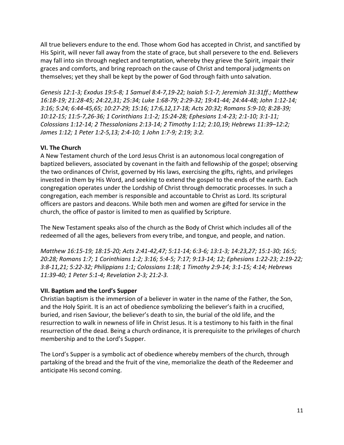All true believers endure to the end. Those whom God has accepted in Christ, and sanctified by His Spirit, will never fall away from the state of grace, but shall persevere to the end. Believers may fall into sin through neglect and temptation, whereby they grieve the Spirit, impair their graces and comforts, and bring reproach on the cause of Christ and temporal judgments on themselves; yet they shall be kept by the power of God through faith unto salvation.

*Genesis 12:1-3; Exodus 19:5-8; 1 Samuel 8:4-7,19-22; Isaiah 5:1-7; Jeremiah 31:31ff.; Matthew 16:18-19; 21:28-45; 24:22,31; 25:34; Luke 1:68-79; 2:29-32; 19:41-44; 24:44-48; John 1:12-14; 3:16; 5:24; 6:44-45,65; 10:27-29; 15:16; 17:6,12,17-18; Acts 20:32; Romans 5:9-10; 8:28-39; 10:12-15; 11:5-7,26-36; 1 Corinthians 1:1-2; 15:24-28; Ephesians 1:4-23; 2:1-10; 3:1-11; Colossians 1:12-14; 2 Thessalonians 2:13-14; 2 Timothy 1:12; 2:10,19; Hebrews 11:39–12:2; James 1:12; 1 Peter 1:2-5,13; 2:4-10; 1 John 1:7-9; 2:19; 3:2.*

## **VI. The Church**

A New Testament church of the Lord Jesus Christ is an autonomous local congregation of baptized believers, associated by covenant in the faith and fellowship of the gospel; observing the two ordinances of Christ, governed by His laws, exercising the gifts, rights, and privileges invested in them by His Word, and seeking to extend the gospel to the ends of the earth. Each congregation operates under the Lordship of Christ through democratic processes. In such a congregation, each member is responsible and accountable to Christ as Lord. Its scriptural officers are pastors and deacons. While both men and women are gifted for service in the church, the office of pastor is limited to men as qualified by Scripture.

The New Testament speaks also of the church as the Body of Christ which includes all of the redeemed of all the ages, believers from every tribe, and tongue, and people, and nation.

*Matthew 16:15-19; 18:15-20; Acts 2:41-42,47; 5:11-14; 6:3-6; 13:1-3; 14:23,27; 15:1-30; 16:5; 20:28; Romans 1:7; 1 Corinthians 1:2; 3:16; 5:4-5; 7:17; 9:13-14; 12; Ephesians 1:22-23; 2:19-22; 3:8-11,21; 5:22-32; Philippians 1:1; Colossians 1:18; 1 Timothy 2:9-14; 3:1-15; 4:14; Hebrews 11:39-40; 1 Peter 5:1-4; Revelation 2-3; 21:2-3.*

## **VII. Baptism and the Lord's Supper**

Christian baptism is the immersion of a believer in water in the name of the Father, the Son, and the Holy Spirit. It is an act of obedience symbolizing the believer's faith in a crucified, buried, and risen Saviour, the believer's death to sin, the burial of the old life, and the resurrection to walk in newness of life in Christ Jesus. It is a testimony to his faith in the final resurrection of the dead. Being a church ordinance, it is prerequisite to the privileges of church membership and to the Lord's Supper.

The Lord's Supper is a symbolic act of obedience whereby members of the church, through partaking of the bread and the fruit of the vine, memorialize the death of the Redeemer and anticipate His second coming.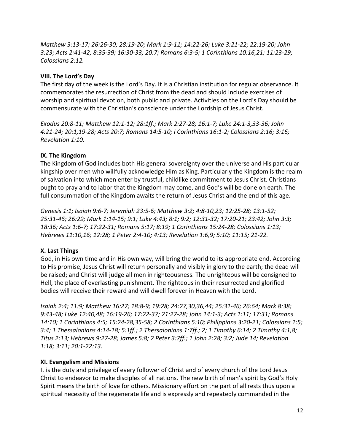*Matthew 3:13-17; 26:26-30; 28:19-20; Mark 1:9-11; 14:22-26; Luke 3:21-22; 22:19-20; John 3:23; Acts 2:41-42; 8:35-39; 16:30-33; 20:7; Romans 6:3-5; 1 Corinthians 10:16,21; 11:23-29; Colossians 2:12.*

## **VIII. The Lord's Day**

The first day of the week is the Lord's Day. It is a Christian institution for regular observance. It commemorates the resurrection of Christ from the dead and should include exercises of worship and spiritual devotion, both public and private. Activities on the Lord's Day should be commensurate with the Christian's conscience under the Lordship of Jesus Christ.

*Exodus 20:8-11; Matthew 12:1-12; 28:1ff.; Mark 2:27-28; 16:1-7; Luke 24:1-3,33-36; John 4:21-24; 20:1,19-28; Acts 20:7; Romans 14:5-10; I Corinthians 16:1-2; Colossians 2:16; 3:16; Revelation 1:10.*

## **IX. The Kingdom**

The Kingdom of God includes both His general sovereignty over the universe and His particular kingship over men who willfully acknowledge Him as King. Particularly the Kingdom is the realm of salvation into which men enter by trustful, childlike commitment to Jesus Christ. Christians ought to pray and to labor that the Kingdom may come, and God's will be done on earth. The full consummation of the Kingdom awaits the return of Jesus Christ and the end of this age.

*Genesis 1:1; Isaiah 9:6-7; Jeremiah 23:5-6; Matthew 3:2; 4:8-10,23; 12:25-28; 13:1-52; 25:31-46; 26:29; Mark 1:14-15; 9:1; Luke 4:43; 8:1; 9:2; 12:31-32; 17:20-21; 23:42; John 3:3; 18:36; Acts 1:6-7; 17:22-31; Romans 5:17; 8:19; 1 Corinthians 15:24-28; Colossians 1:13; Hebrews 11:10,16; 12:28; 1 Peter 2:4-10; 4:13; Revelation 1:6,9; 5:10; 11:15; 21-22.*

## **X. Last Things**

God, in His own time and in His own way, will bring the world to its appropriate end. According to His promise, Jesus Christ will return personally and visibly in glory to the earth; the dead will be raised; and Christ will judge all men in righteousness. The unrighteous will be consigned to Hell, the place of everlasting punishment. The righteous in their resurrected and glorified bodies will receive their reward and will dwell forever in Heaven with the Lord.

*Isaiah 2:4; 11:9; Matthew 16:27; 18:8-9; 19:28; 24:27,30,36,44; 25:31-46; 26:64; Mark 8:38; 9:43-48; Luke 12:40,48; 16:19-26; 17:22-37; 21:27-28; John 14:1-3; Acts 1:11; 17:31; Romans 14:10; 1 Corinthians 4:5; 15:24-28,35-58; 2 Corinthians 5:10; Philippians 3:20-21; Colossians 1:5; 3:4; 1 Thessalonians 4:14-18; 5:1ff.; 2 Thessalonians 1:7ff.; 2; 1 Timothy 6:14; 2 Timothy 4:1,8; Titus 2:13; Hebrews 9:27-28; James 5:8; 2 Peter 3:7ff.; 1 John 2:28; 3:2; Jude 14; Revelation 1:18; 3:11; 20:1-22:13.*

## **XI. Evangelism and Missions**

It is the duty and privilege of every follower of Christ and of every church of the Lord Jesus Christ to endeavor to make disciples of all nations. The new birth of man's spirit by God's Holy Spirit means the birth of love for others. Missionary effort on the part of all rests thus upon a spiritual necessity of the regenerate life and is expressly and repeatedly commanded in the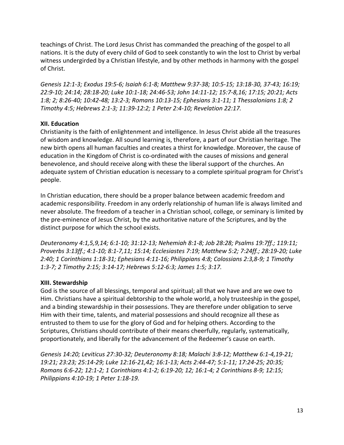teachings of Christ. The Lord Jesus Christ has commanded the preaching of the gospel to all nations. It is the duty of every child of God to seek constantly to win the lost to Christ by verbal witness undergirded by a Christian lifestyle, and by other methods in harmony with the gospel of Christ.

*Genesis 12:1-3; Exodus 19:5-6; Isaiah 6:1-8; Matthew 9:37-38; 10:5-15; 13:18-30, 37-43; 16:19; 22:9-10; 24:14; 28:18-20; Luke 10:1-18; 24:46-53; John 14:11-12; 15:7-8,16; 17:15; 20:21; Acts 1:8; 2; 8:26-40; 10:42-48; 13:2-3; Romans 10:13-15; Ephesians 3:1-11; 1 Thessalonians 1:8; 2 Timothy 4:5; Hebrews 2:1-3; 11:39-12:2; 1 Peter 2:4-10; Revelation 22:17.*

## **XII. Education**

Christianity is the faith of enlightenment and intelligence. In Jesus Christ abide all the treasures of wisdom and knowledge. All sound learning is, therefore, a part of our Christian heritage. The new birth opens all human faculties and creates a thirst for knowledge. Moreover, the cause of education in the Kingdom of Christ is co-ordinated with the causes of missions and general benevolence, and should receive along with these the liberal support of the churches. An adequate system of Christian education is necessary to a complete spiritual program for Christ's people.

In Christian education, there should be a proper balance between academic freedom and academic responsibility. Freedom in any orderly relationship of human life is always limited and never absolute. The freedom of a teacher in a Christian school, college, or seminary is limited by the pre-eminence of Jesus Christ, by the authoritative nature of the Scriptures, and by the distinct purpose for which the school exists.

*Deuteronomy 4:1,5,9,14; 6:1-10; 31:12-13; Nehemiah 8:1-8; Job 28:28; Psalms 19:7ff.; 119:11; Proverbs 3:13ff.; 4:1-10; 8:1-7,11; 15:14; Ecclesiastes 7:19; Matthew 5:2; 7:24ff.; 28:19-20; Luke 2:40; 1 Corinthians 1:18-31; Ephesians 4:11-16; Philippians 4:8; Colossians 2:3,8-9; 1 Timothy 1:3-7; 2 Timothy 2:15; 3:14-17; Hebrews 5:12-6:3; James 1:5; 3:17.*

#### **XIII. Stewardship**

God is the source of all blessings, temporal and spiritual; all that we have and are we owe to Him. Christians have a spiritual debtorship to the whole world, a holy trusteeship in the gospel, and a binding stewardship in their possessions. They are therefore under obligation to serve Him with their time, talents, and material possessions and should recognize all these as entrusted to them to use for the glory of God and for helping others. According to the Scriptures, Christians should contribute of their means cheerfully, regularly, systematically, proportionately, and liberally for the advancement of the Redeemer's cause on earth.

*Genesis 14:20; Leviticus 27:30-32; Deuteronomy 8:18; Malachi 3:8-12; Matthew 6:1-4,19-21; 19:21; 23:23; 25:14-29; Luke 12:16-21,42; 16:1-13; Acts 2:44-47; 5:1-11; 17:24-25; 20:35; Romans 6:6-22; 12:1-2; 1 Corinthians 4:1-2; 6:19-20; 12; 16:1-4; 2 Corinthians 8-9; 12:15; Philippians 4:10-19; 1 Peter 1:18-19.*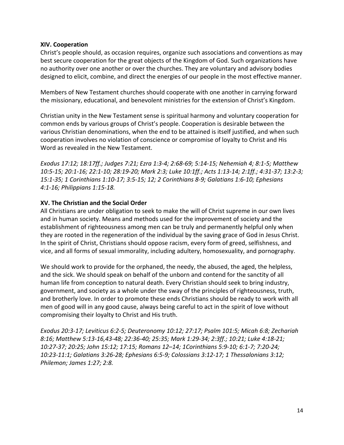#### **XIV. Cooperation**

Christ's people should, as occasion requires, organize such associations and conventions as may best secure cooperation for the great objects of the Kingdom of God. Such organizations have no authority over one another or over the churches. They are voluntary and advisory bodies designed to elicit, combine, and direct the energies of our people in the most effective manner.

Members of New Testament churches should cooperate with one another in carrying forward the missionary, educational, and benevolent ministries for the extension of Christ's Kingdom.

Christian unity in the New Testament sense is spiritual harmony and voluntary cooperation for common ends by various groups of Christ's people. Cooperation is desirable between the various Christian denominations, when the end to be attained is itself justified, and when such cooperation involves no violation of conscience or compromise of loyalty to Christ and His Word as revealed in the New Testament.

*Exodus 17:12; 18:17ff.; Judges 7:21; Ezra 1:3-4; 2:68-69; 5:14-15; Nehemiah 4; 8:1-5; Matthew 10:5-15; 20:1-16; 22:1-10; 28:19-20; Mark 2:3; Luke 10:1ff.; Acts 1:13-14; 2:1ff.; 4:31-37; 13:2-3; 15:1-35; 1 Corinthians 1:10-17; 3:5-15; 12; 2 Corinthians 8-9; Galatians 1:6-10; Ephesians 4:1-16; Philippians 1:15-18.*

#### **XV. The Christian and the Social Order**

All Christians are under obligation to seek to make the will of Christ supreme in our own lives and in human society. Means and methods used for the improvement of society and the establishment of righteousness among men can be truly and permanently helpful only when they are rooted in the regeneration of the individual by the saving grace of God in Jesus Christ. In the spirit of Christ, Christians should oppose racism, every form of greed, selfishness, and vice, and all forms of sexual immorality, including adultery, homosexuality, and pornography.

We should work to provide for the orphaned, the needy, the abused, the aged, the helpless, and the sick. We should speak on behalf of the unborn and contend for the sanctity of all human life from conception to natural death. Every Christian should seek to bring industry, government, and society as a whole under the sway of the principles of righteousness, truth, and brotherly love. In order to promote these ends Christians should be ready to work with all men of good will in any good cause, always being careful to act in the spirit of love without compromising their loyalty to Christ and His truth.

*Exodus 20:3-17; Leviticus 6:2-5; Deuteronomy 10:12; 27:17; Psalm 101:5; Micah 6:8; Zechariah 8:16; Matthew 5:13-16,43-48; 22:36-40; 25:35; Mark 1:29-34; 2:3ff.; 10:21; Luke 4:18-21; 10:27-37; 20:25; John 15:12; 17:15; Romans 12–14; 1Corinthians 5:9-10; 6:1-7; 7:20-24; 10:23-11:1; Galatians 3:26-28; Ephesians 6:5-9; Colossians 3:12-17; 1 Thessalonians 3:12; Philemon; James 1:27; 2:8.*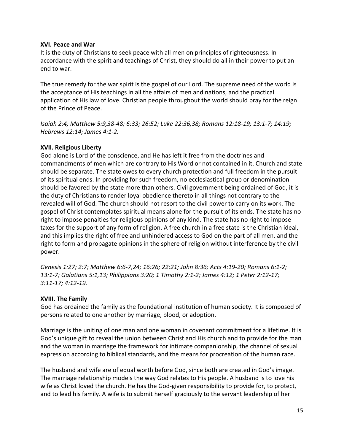#### **XVI. Peace and War**

It is the duty of Christians to seek peace with all men on principles of righteousness. In accordance with the spirit and teachings of Christ, they should do all in their power to put an end to war.

The true remedy for the war spirit is the gospel of our Lord. The supreme need of the world is the acceptance of His teachings in all the affairs of men and nations, and the practical application of His law of love. Christian people throughout the world should pray for the reign of the Prince of Peace.

*Isaiah 2:4; Matthew 5:9,38-48; 6:33; 26:52; Luke 22:36,38; Romans 12:18-19; 13:1-7; 14:19; Hebrews 12:14; James 4:1-2.*

#### **XVII. Religious Liberty**

God alone is Lord of the conscience, and He has left it free from the doctrines and commandments of men which are contrary to His Word or not contained in it. Church and state should be separate. The state owes to every church protection and full freedom in the pursuit of its spiritual ends. In providing for such freedom, no ecclesiastical group or denomination should be favored by the state more than others. Civil government being ordained of God, it is the duty of Christians to render loyal obedience thereto in all things not contrary to the revealed will of God. The church should not resort to the civil power to carry on its work. The gospel of Christ contemplates spiritual means alone for the pursuit of its ends. The state has no right to impose penalties for religious opinions of any kind. The state has no right to impose taxes for the support of any form of religion. A free church in a free state is the Christian ideal, and this implies the right of free and unhindered access to God on the part of all men, and the right to form and propagate opinions in the sphere of religion without interference by the civil power.

*Genesis 1:27; 2:7; Matthew 6:6-7,24; 16:26; 22:21; John 8:36; Acts 4:19-20; Romans 6:1-2; 13:1-7; Galatians 5:1,13; Philippians 3:20; 1 Timothy 2:1-2; James 4:12; 1 Peter 2:12-17; 3:11-17; 4:12-19.*

#### **XVIII. The Family**

God has ordained the family as the foundational institution of human society. It is composed of persons related to one another by marriage, blood, or adoption.

Marriage is the uniting of one man and one woman in covenant commitment for a lifetime. It is God's unique gift to reveal the union between Christ and His church and to provide for the man and the woman in marriage the framework for intimate companionship, the channel of sexual expression according to biblical standards, and the means for procreation of the human race.

The husband and wife are of equal worth before God, since both are created in God's image. The marriage relationship models the way God relates to His people. A husband is to love his wife as Christ loved the church. He has the God-given responsibility to provide for, to protect, and to lead his family. A wife is to submit herself graciously to the servant leadership of her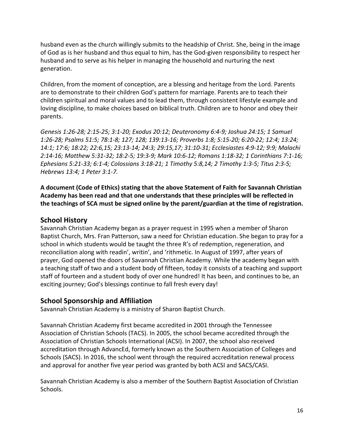husband even as the church willingly submits to the headship of Christ. She, being in the image of God as is her husband and thus equal to him, has the God-given responsibility to respect her husband and to serve as his helper in managing the household and nurturing the next generation.

Children, from the moment of conception, are a blessing and heritage from the Lord. Parents are to demonstrate to their children God's pattern for marriage. Parents are to teach their children spiritual and moral values and to lead them, through consistent lifestyle example and loving discipline, to make choices based on biblical truth. Children are to honor and obey their parents.

*Genesis 1:26-28; 2:15-25; 3:1-20; Exodus 20:12; Deuteronomy 6:4-9; Joshua 24:15; 1 Samuel 1:26-28; Psalms 51:5; 78:1-8; 127; 128; 139:13-16; Proverbs 1:8; 5:15-20; 6:20-22; 12:4; 13:24; 14:1; 17:6; 18:22; 22:6,15; 23:13-14; 24:3; 29:15,17; 31:10-31; Ecclesiastes 4:9-12; 9:9; Malachi 2:14-16; Matthew 5:31-32; 18:2-5; 19:3-9; Mark 10:6-12; Romans 1:18-32; 1 Corinthians 7:1-16; Ephesians 5:21-33; 6:1-4; Colossians 3:18-21; 1 Timothy 5:8,14; 2 Timothy 1:3-5; Titus 2:3-5; Hebrews 13:4; 1 Peter 3:1-7.*

**A document (Code of Ethics) stating that the above Statement of Faith for Savannah Christian Academy has been read and that one understands that these principles will be reflected in the teachings of SCA must be signed online by the parent/guardian at the time of registration.**

## **School History**

Savannah Christian Academy began as a prayer request in 1995 when a member of Sharon Baptist Church, Mrs. Fran Patterson, saw a need for Christian education. She began to pray for a school in which students would be taught the three R's of redemption, regeneration, and reconciliation along with readin', writin', and 'rithmetic. In August of 1997, after years of prayer, God opened the doors of Savannah Christian Academy. While the academy began with a teaching staff of two and a student body of fifteen, today it consists of a teaching and support staff of fourteen and a student body of over one hundred! It has been, and continues to be, an exciting journey; God's blessings continue to fall fresh every day!

## **School Sponsorship and Affiliation**

Savannah Christian Academy is a ministry of Sharon Baptist Church.

Savannah Christian Academy first became accredited in 2001 through the Tennessee Association of Christian Schools (TACS). In 2005, the school became accredited through the Association of Christian Schools International (ACSI). In 2007, the school also received accreditation through AdvancEd, formerly known as the Southern Association of Colleges and Schools (SACS). In 2016, the school went through the required accreditation renewal process and approval for another five year period was granted by both ACSI and SACS/CASI.

Savannah Christian Academy is also a member of the Southern Baptist Association of Christian Schools.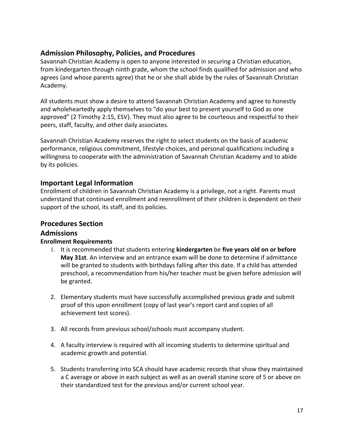## **Admission Philosophy, Policies, and Procedures**

Savannah Christian Academy is open to anyone interested in securing a Christian education, from kindergarten through ninth grade, whom the school finds qualified for admission and who agrees (and whose parents agree) that he or she shall abide by the rules of Savannah Christian Academy.

All students must show a desire to attend Savannah Christian Academy and agree to honestly and wholeheartedly apply themselves to "do your best to present yourself to God as one approved" (2 Timothy 2:15, ESV). They must also agree to be courteous and respectful to their peers, staff, faculty, and other daily associates.

Savannah Christian Academy reserves the right to select students on the basis of academic performance, religious commitment, lifestyle choices, and personal qualifications including a willingness to cooperate with the administration of Savannah Christian Academy and to abide by its policies.

## **Important Legal Information**

Enrollment of children in Savannah Christian Academy is a privilege, not a right. Parents must understand that continued enrollment and reenrollment of their children is dependent on their support of the school, its staff, and its policies.

## **Procedures Section**

## **Admissions**

## **Enrollment Requirements**

- 1. It is recommended that students entering **kindergarten** be **five years old on or before May 31st**. An interview and an entrance exam will be done to determine if admittance will be granted to students with birthdays falling after this date. If a child has attended preschool, a recommendation from his/her teacher must be given before admission will be granted.
- 2. Elementary students must have successfully accomplished previous grade and submit proof of this upon enrollment (copy of last year's report card and copies of all achievement test scores).
- 3. All records from previous school/schools must accompany student.
- 4. A faculty interview is required with all incoming students to determine spiritual and academic growth and potential.
- 5. Students transferring into SCA should have academic records that show they maintained a C average or above in each subject as well as an overall stanine score of 5 or above on their standardized test for the previous and/or current school year.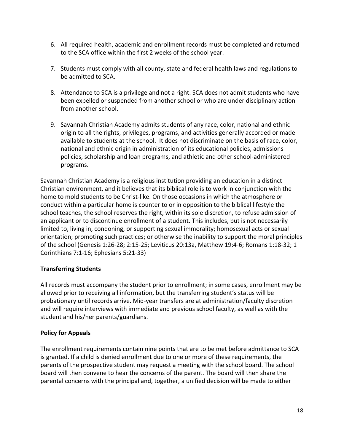- 6. All required health, academic and enrollment records must be completed and returned to the SCA office within the first 2 weeks of the school year.
- 7. Students must comply with all county, state and federal health laws and regulations to be admitted to SCA.
- 8. Attendance to SCA is a privilege and not a right. SCA does not admit students who have been expelled or suspended from another school or who are under disciplinary action from another school.
- 9. Savannah Christian Academy admits students of any race, color, national and ethnic origin to all the rights, privileges, programs, and activities generally accorded or made available to students at the school. It does not discriminate on the basis of race, color, national and ethnic origin in administration of its educational policies, admissions policies, scholarship and loan programs, and athletic and other school-administered programs.

Savannah Christian Academy is a religious institution providing an education in a distinct Christian environment, and it believes that its biblical role is to work in conjunction with the home to mold students to be Christ-like. On those occasions in which the atmosphere or conduct within a particular home is counter to or in opposition to the biblical lifestyle the school teaches, the school reserves the right, within its sole discretion, to refuse admission of an applicant or to discontinue enrollment of a student. This includes, but is not necessarily limited to, living in, condoning, or supporting sexual immorality; homosexual acts or sexual orientation; promoting such practices; or otherwise the inability to support the moral principles of the school (Genesis 1:26-28; 2:15-25; Leviticus 20:13a, Matthew 19:4-6; Romans 1:18-32; 1 Corinthians 7:1-16; Ephesians 5:21-33)

## **Transferring Students**

All records must accompany the student prior to enrollment; in some cases, enrollment may be allowed prior to receiving all information, but the transferring student's status will be probationary until records arrive. Mid-year transfers are at administration/faculty discretion and will require interviews with immediate and previous school faculty, as well as with the student and his/her parents/guardians.

## **Policy for Appeals**

The enrollment requirements contain nine points that are to be met before admittance to SCA is granted. If a child is denied enrollment due to one or more of these requirements, the parents of the prospective student may request a meeting with the school board. The school board will then convene to hear the concerns of the parent. The board will then share the parental concerns with the principal and, together, a unified decision will be made to either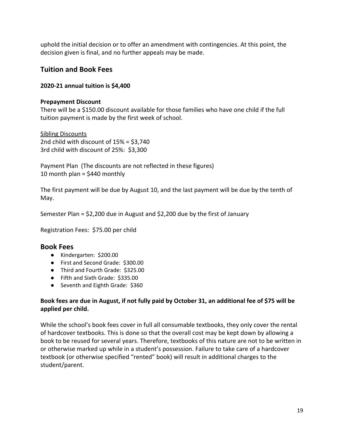uphold the initial decision or to offer an amendment with contingencies. At this point, the decision given is final, and no further appeals may be made.

## **Tuition and Book Fees**

#### **2020-21 annual tuition is \$4,400**

#### **Prepayment Discount**

There will be a \$150.00 discount available for those families who have one child if the full tuition payment is made by the first week of school.

Sibling Discounts 2nd child with discount of 15% = \$3,740 3rd child with discount of 25%: \$3,300

Payment Plan (The discounts are not reflected in these figures) 10 month plan = \$440 monthly

The first payment will be due by August 10, and the last payment will be due by the tenth of May.

Semester Plan = \$2,200 due in August and \$2,200 due by the first of January

Registration Fees: \$75.00 per child

## **Book Fees**

- Kindergarten: \$200.00
- First and Second Grade: \$300.00
- Third and Fourth Grade: \$325.00
- Fifth and Sixth Grade: \$335.00
- Seventh and Eighth Grade: \$360

#### **Book fees are due in August, if not fully paid by October 31, an additional fee of \$75 will be applied per child.**

While the school's book fees cover in full all consumable textbooks, they only cover the rental of hardcover textbooks. This is done so that the overall cost may be kept down by allowing a book to be reused for several years. Therefore, textbooks of this nature are not to be written in or otherwise marked up while in a student's possession. Failure to take care of a hardcover textbook (or otherwise specified "rented" book) will result in additional charges to the student/parent.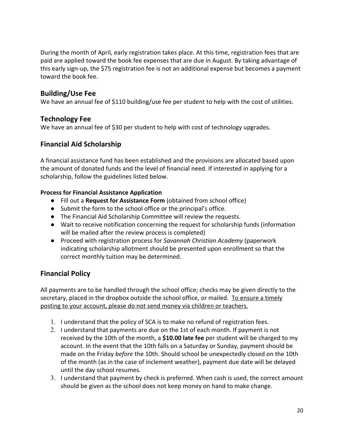During the month of April, early registration takes place. At this time, registration fees that are paid are applied toward the book fee expenses that are due in August. By taking advantage of this early sign-up, the \$75 registration fee is not an additional expense but becomes a payment toward the book fee.

## **Building/Use Fee**

We have an annual fee of \$110 building/use fee per student to help with the cost of utilities.

## **Technology Fee**

We have an annual fee of \$30 per student to help with cost of technology upgrades.

## **Financial Aid Scholarship**

A financial assistance fund has been established and the provisions are allocated based upon the amount of donated funds and the level of financial need. If interested in applying for a scholarship, follow the guidelines listed below.

#### **Process for Financial Assistance Application**

- Fill out a **Request for Assistance Form** (obtained from school office)
- Submit the form to the school office or the principal's office.
- The Financial Aid Scholarship Committee will review the requests.
- Wait to receive notification concerning the request for scholarship funds (information will be mailed after the review process is completed)
- Proceed with registration process for *Savannah Christian Academy* (paperwork indicating scholarship allotment should be presented upon enrollment so that the correct monthly tuition may be determined.

## **Financial Policy**

All payments are to be handled through the school office; checks may be given directly to the secretary, placed in the dropbox outside the school office, or mailed. To ensure a timely posting to your account, please do not send money via children or teachers.

- 1. I understand that the policy of SCA is to make no refund of registration fees.
- 2. I understand that payments are due on the 1st of each month. If payment is not received by the 10th of the month, a **\$10.00 late fee** per student will be charged to my account. In the event that the 10th falls on a Saturday or Sunday, payment should be made on the Friday *before* the 10th. Should school be unexpectedly closed on the 10th of the month (as in the case of inclement weather), payment due date will be delayed until the day school resumes.
- 3. I understand that payment by check is preferred. When cash is used, the correct amount should be given as the school does not keep money on hand to make change.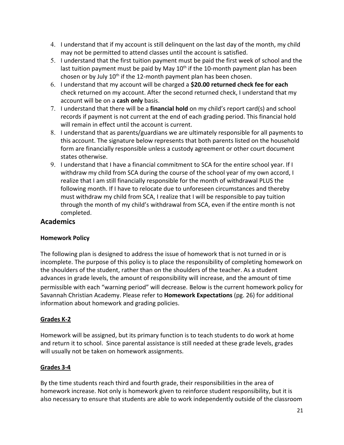- 4. I understand that if my account is still delinquent on the last day of the month, my child may not be permitted to attend classes until the account is satisfied.
- 5. I understand that the first tuition payment must be paid the first week of school and the last tuition payment must be paid by May  $10^{th}$  if the 10-month payment plan has been chosen or by July 10<sup>th</sup> if the 12-month payment plan has been chosen.
- 6. I understand that my account will be charged a **\$20.00 returned check fee for each** check returned on my account. After the second returned check, I understand that my account will be on a **cash only** basis.
- 7. I understand that there will be a **financial hold** on my child's report card(s) and school records if payment is not current at the end of each grading period. This financial hold will remain in effect until the account is current.
- 8. I understand that as parents/guardians we are ultimately responsible for all payments to this account. The signature below represents that both parents listed on the household form are financially responsible unless a custody agreement or other court document states otherwise.
- 9. I understand that I have a financial commitment to SCA for the entire school year. If I withdraw my child from SCA during the course of the school year of my own accord, I realize that I am still financially responsible for the month of withdrawal PLUS the following month. If I have to relocate due to unforeseen circumstances and thereby must withdraw my child from SCA, I realize that I will be responsible to pay tuition through the month of my child's withdrawal from SCA, even if the entire month is not completed.

## **Academics**

## **Homework Policy**

The following plan is designed to address the issue of homework that is not turned in or is incomplete. The purpose of this policy is to place the responsibility of completing homework on the shoulders of the student, rather than on the shoulders of the teacher. As a student advances in grade levels, the amount of responsibility will increase, and the amount of time permissible with each "warning period" will decrease. Below is the current homework policy for Savannah Christian Academy. Please refer to **Homework Expectations** (pg. 26) for additional information about homework and grading policies.

## **Grades K-2**

Homework will be assigned, but its primary function is to teach students to do work at home and return it to school. Since parental assistance is still needed at these grade levels, grades will usually not be taken on homework assignments.

## **Grades 3-4**

By the time students reach third and fourth grade, their responsibilities in the area of homework increase. Not only is homework given to reinforce student responsibility, but it is also necessary to ensure that students are able to work independently outside of the classroom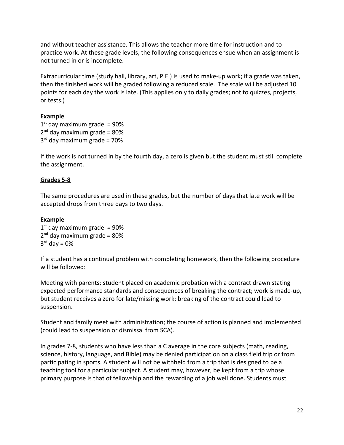and without teacher assistance. This allows the teacher more time for instruction and to practice work. At these grade levels, the following consequences ensue when an assignment is not turned in or is incomplete.

Extracurricular time (study hall, library, art, P.E.) is used to make-up work; if a grade was taken, then the finished work will be graded following a reduced scale. The scale will be adjusted 10 points for each day the work is late. (This applies only to daily grades; not to quizzes, projects, or tests.)

## **Example**

 $1<sup>st</sup>$  day maximum grade = 90% 2<sup>nd</sup> day maximum grade = 80% 3 rd day maximum grade = 70%

If the work is not turned in by the fourth day, a zero is given but the student must still complete the assignment.

## **Grades 5-8**

The same procedures are used in these grades, but the number of days that late work will be accepted drops from three days to two days.

#### **Example**

 $1<sup>st</sup>$  day maximum grade = 90% 2<sup>nd</sup> day maximum grade = 80%  $3<sup>rd</sup>$  day = 0%

If a student has a continual problem with completing homework, then the following procedure will be followed:

Meeting with parents; student placed on academic probation with a contract drawn stating expected performance standards and consequences of breaking the contract; work is made-up, but student receives a zero for late/missing work; breaking of the contract could lead to suspension.

Student and family meet with administration; the course of action is planned and implemented (could lead to suspension or dismissal from SCA).

In grades 7-8, students who have less than a C average in the core subjects (math, reading, science, history, language, and Bible) may be denied participation on a class field trip or from participating in sports. A student will not be withheld from a trip that is designed to be a teaching tool for a particular subject. A student may, however, be kept from a trip whose primary purpose is that of fellowship and the rewarding of a job well done. Students must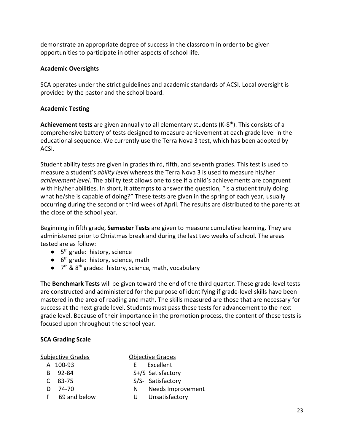demonstrate an appropriate degree of success in the classroom in order to be given opportunities to participate in other aspects of school life.

#### **Academic Oversights**

SCA operates under the strict guidelines and academic standards of ACSI. Local oversight is provided by the pastor and the school board.

## **Academic Testing**

**Achievement tests** are given annually to all elementary students (K-8<sup>th</sup>). This consists of a comprehensive battery of tests designed to measure achievement at each grade level in the educational sequence. We currently use the Terra Nova 3 test, which has been adopted by ACSI.

Student ability tests are given in grades third, fifth, and seventh grades. This test is used to measure a student's *ability level* whereas the Terra Nova 3 is used to measure his/her *achievement level*. The ability test allows one to see if a child's achievements are congruent with his/her abilities. In short, it attempts to answer the question, "Is a student truly doing what he/she is capable of doing?" These tests are given in the spring of each year, usually occurring during the second or third week of April. The results are distributed to the parents at the close of the school year.

Beginning in fifth grade, **Semester Tests** are given to measure cumulative learning. They are administered prior to Christmas break and during the last two weeks of school. The areas tested are as follow:

- $\bullet$  5<sup>th</sup> grade: history, science
- 6<sup>th</sup> grade: history, science, math
- $\bullet$   $7<sup>th</sup>$  & 8<sup>th</sup> grades: history, science, math, vocabulary

The **Benchmark Tests** will be given toward the end of the third quarter. These grade-level tests are constructed and administered for the purpose of identifying if grade-level skills have been mastered in the area of reading and math. The skills measured are those that are necessary for success at the next grade level. Students must pass these tests for advancement to the next grade level. Because of their importance in the promotion process, the content of these tests is focused upon throughout the school year.

## **SCA Grading Scale**

#### Subjective Grades Objective Grades

- A 100-93 E Excellent
- B 92-84 S+/S Satisfactory
- C 83-75 S/S- Satisfactory
- 
- D 74-70 N Needs Improvement
- F 69 and below U Unsatisfactory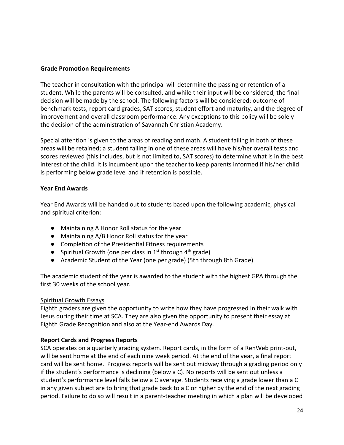#### **Grade Promotion Requirements**

The teacher in consultation with the principal will determine the passing or retention of a student. While the parents will be consulted, and while their input will be considered, the final decision will be made by the school. The following factors will be considered: outcome of benchmark tests, report card grades, SAT scores, student effort and maturity, and the degree of improvement and overall classroom performance. Any exceptions to this policy will be solely the decision of the administration of Savannah Christian Academy.

Special attention is given to the areas of reading and math. A student failing in both of these areas will be retained; a student failing in one of these areas will have his/her overall tests and scores reviewed (this includes, but is not limited to, SAT scores) to determine what is in the best interest of the child. It is incumbent upon the teacher to keep parents informed if his/her child is performing below grade level and if retention is possible.

#### **Year End Awards**

Year End Awards will be handed out to students based upon the following academic, physical and spiritual criterion:

- Maintaining A Honor Roll status for the year
- Maintaining A/B Honor Roll status for the year
- Completion of the Presidential Fitness requirements
- Spiritual Growth (one per class in  $1^{st}$  through  $4^{th}$  grade)
- Academic Student of the Year (one per grade) (5th through 8th Grade)

The academic student of the year is awarded to the student with the highest GPA through the first 30 weeks of the school year.

## Spiritual Growth Essays

Eighth graders are given the opportunity to write how they have progressed in their walk with Jesus during their time at SCA. They are also given the opportunity to present their essay at Eighth Grade Recognition and also at the Year-end Awards Day.

## **Report Cards and Progress Reports**

SCA operates on a quarterly grading system. Report cards, in the form of a RenWeb print-out, will be sent home at the end of each nine week period. At the end of the year, a final report card will be sent home. Progress reports will be sent out midway through a grading period only if the student's performance is declining (below a C). No reports will be sent out unless a student's performance level falls below a C average. Students receiving a grade lower than a C in any given subject are to bring that grade back to a C or higher by the end of the next grading period. Failure to do so will result in a parent-teacher meeting in which a plan will be developed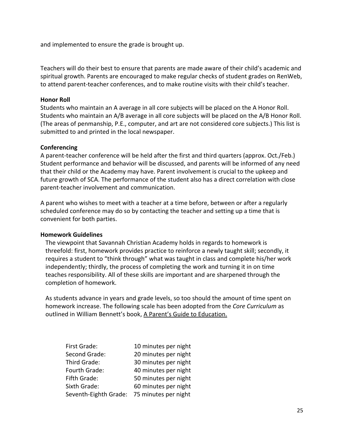and implemented to ensure the grade is brought up.

Teachers will do their best to ensure that parents are made aware of their child's academic and spiritual growth. Parents are encouraged to make regular checks of student grades on RenWeb, to attend parent-teacher conferences, and to make routine visits with their child's teacher.

#### **Honor Roll**

Students who maintain an A average in all core subjects will be placed on the A Honor Roll. Students who maintain an A/B average in all core subjects will be placed on the A/B Honor Roll. (The areas of penmanship, P.E., computer, and art are not considered core subjects.) This list is submitted to and printed in the local newspaper.

#### **Conferencing**

A parent-teacher conference will be held after the first and third quarters (approx. Oct./Feb.) Student performance and behavior will be discussed, and parents will be informed of any need that their child or the Academy may have. Parent involvement is crucial to the upkeep and future growth of SCA. The performance of the student also has a direct correlation with close parent-teacher involvement and communication.

A parent who wishes to meet with a teacher at a time before, between or after a regularly scheduled conference may do so by contacting the teacher and setting up a time that is convenient for both parties.

#### **Homework Guidelines**

The viewpoint that Savannah Christian Academy holds in regards to homework is threefold: first, homework provides practice to reinforce a newly taught skill; secondly, it requires a student to "think through" what was taught in class and complete his/her work independently; thirdly, the process of completing the work and turning it in on time teaches responsibility. All of these skills are important and are sharpened through the completion of homework.

As students advance in years and grade levels, so too should the amount of time spent on homework increase. The following scale has been adopted from the *Core Curriculum* as outlined in William Bennett's book, A Parent's Guide to Education.

| First Grade:                               | 10 minutes per night |
|--------------------------------------------|----------------------|
| Second Grade:                              | 20 minutes per night |
| Third Grade:                               | 30 minutes per night |
| Fourth Grade:                              | 40 minutes per night |
| Fifth Grade:                               | 50 minutes per night |
| Sixth Grade:                               | 60 minutes per night |
| Seventh-Eighth Grade: 75 minutes per night |                      |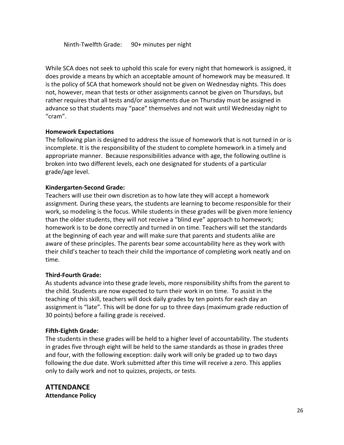While SCA does not seek to uphold this scale for every night that homework is assigned, it does provide a means by which an acceptable amount of homework may be measured. It is the policy of SCA that homework should not be given on Wednesday nights. This does not, however, mean that tests or other assignments cannot be given on Thursdays, but rather requires that all tests and/or assignments due on Thursday must be assigned in advance so that students may "pace" themselves and not wait until Wednesday night to "cram".

#### **Homework Expectations**

The following plan is designed to address the issue of homework that is not turned in or is incomplete. It is the responsibility of the student to complete homework in a timely and appropriate manner. Because responsibilities advance with age, the following outline is broken into two different levels, each one designated for students of a particular grade/age level.

#### **Kindergarten-Second Grade:**

Teachers will use their own discretion as to how late they will accept a homework assignment. During these years, the students are learning to become responsible for their work, so modeling is the focus. While students in these grades will be given more leniency than the older students, they will not receive a "blind eye" approach to homework; homework is to be done correctly and turned in on time. Teachers will set the standards at the beginning of each year and will make sure that parents and students alike are aware of these principles. The parents bear some accountability here as they work with their child's teacher to teach their child the importance of completing work neatly and on time.

## **Third-Fourth Grade:**

As students advance into these grade levels, more responsibility shifts from the parent to the child. Students are now expected to turn their work in on time. To assist in the teaching of this skill, teachers will dock daily grades by ten points for each day an assignment is "late". This will be done for up to three days (maximum grade reduction of 30 points) before a failing grade is received.

## **Fifth-Eighth Grade:**

The students in these grades will be held to a higher level of accountability. The students in grades five through eight will be held to the same standards as those in grades three and four, with the following exception: daily work will only be graded up to two days following the due date. Work submitted after this time will receive a zero. This applies only to daily work and not to quizzes, projects, or tests.

**ATTENDANCE Attendance Policy**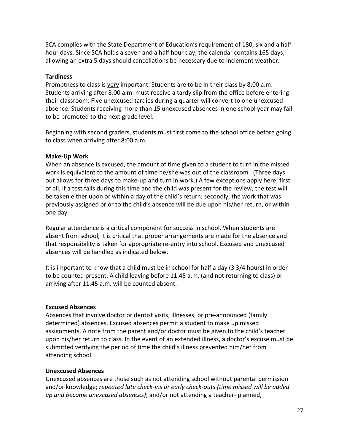SCA complies with the State Department of Education's requirement of 180, six and a half hour days. Since SCA holds a seven and a half hour day, the calendar contains 165 days, allowing an extra 5 days should cancellations be necessary due to inclement weather.

#### **Tardiness**

Promptness to class is very important. Students are to be in their class by 8:00 a.m. Students arriving after 8:00 a.m. must receive a tardy slip from the office before entering their classroom. Five unexcused tardies during a quarter will convert to one unexcused absence. Students receiving more than 15 unexcused absences in one school year may fail to be promoted to the next grade level.

Beginning with second graders, students must first come to the school office before going to class when arriving after 8:00 a.m.

#### **Make-Up Work**

When an absence is excused, the amount of time given to a student to turn in the missed work is equivalent to the amount of time he/she was out of the classroom. (Three days out allows for three days to make-up and turn in work.) A few exceptions apply here; first of all, if a test falls during this time and the child was present for the review, the test will be taken either upon or within a day of the child's return; secondly, the work that was previously assigned prior to the child's absence will be due upon his/her return, or within one day.

Regular attendance is a critical component for success in school. When students are absent from school, it is critical that proper arrangements are made for the absence and that responsibility is taken for appropriate re-entry into school. Excused and unexcused absences will be handled as indicated below.

It is important to know that a child must be in school for half a day (3 3/4 hours) in order to be counted present. A child leaving before 11:45 a.m. (and not returning to class) or arriving after 11:45 a.m. will be counted absent.

#### **Excused Absences**

Absences that involve doctor or dentist visits, illnesses, or pre-announced (family determined) absences. Excused absences permit a student to make up missed assignments. A note from the parent and/or doctor must be given to the child's teacher upon his/her return to class. In the event of an extended illness, a doctor's excuse must be submitted verifying the period of time the child's illness prevented him/her from attending school.

#### **Unexcused Absences**

Unexcused absences are those such as not attending school without parental permission and/or knowledge; *repeated late check-ins or early check-outs (time missed will be added up and become unexcused absences)*; and/or not attending a teacher- planned,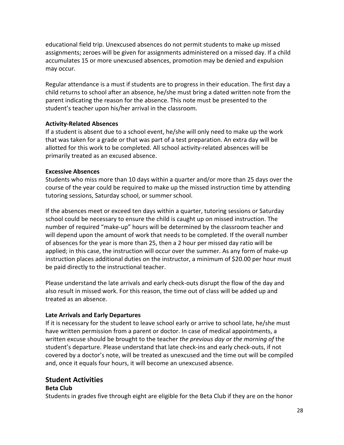educational field trip. Unexcused absences do not permit students to make up missed assignments; zeroes will be given for assignments administered on a missed day. If a child accumulates 15 or more unexcused absences, promotion may be denied and expulsion may occur.

Regular attendance is a must if students are to progress in their education. The first day a child returns to school after an absence, he/she must bring a dated written note from the parent indicating the reason for the absence. This note must be presented to the student's teacher upon his/her arrival in the classroom.

#### **Activity-Related Absences**

If a student is absent due to a school event, he/she will only need to make up the work that was taken for a grade or that was part of a test preparation. An extra day will be allotted for this work to be completed. All school activity-related absences will be primarily treated as an excused absence.

#### **Excessive Absences**

Students who miss more than 10 days within a quarter and/or more than 25 days over the course of the year could be required to make up the missed instruction time by attending tutoring sessions, Saturday school, or summer school.

If the absences meet or exceed ten days within a quarter, tutoring sessions or Saturday school could be necessary to ensure the child is caught up on missed instruction. The number of required "make-up" hours will be determined by the classroom teacher and will depend upon the amount of work that needs to be completed. If the overall number of absences for the year is more than 25, then a 2 hour per missed day ratio will be applied; in this case, the instruction will occur over the summer. As any form of make-up instruction places additional duties on the instructor, a minimum of \$20.00 per hour must be paid directly to the instructional teacher.

Please understand the late arrivals and early check-outs disrupt the flow of the day and also result in missed work. For this reason, the time out of class will be added up and treated as an absence.

## **Late Arrivals and Early Departures**

If it is necessary for the student to leave school early or arrive to school late, he/she must have written permission from a parent or doctor. In case of medical appointments, a written excuse should be brought to the teacher *the previous day or the morning of* the student's departure. Please understand that late check-ins and early check-outs, if not covered by a doctor's note, will be treated as unexcused and the time out will be compiled and, once it equals four hours, it will become an unexcused absence.

## **Student Activities**

## **Beta Club**

Students in grades five through eight are eligible for the Beta Club if they are on the honor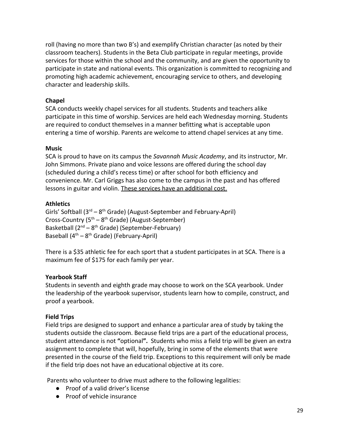roll (having no more than two B's) and exemplify Christian character (as noted by their classroom teachers). Students in the Beta Club participate in regular meetings, provide services for those within the school and the community, and are given the opportunity to participate in state and national events. This organization is committed to recognizing and promoting high academic achievement, encouraging service to others, and developing character and leadership skills.

## **Chapel**

SCA conducts weekly chapel services for all students. Students and teachers alike participate in this time of worship. Services are held each Wednesday morning. Students are required to conduct themselves in a manner befitting what is acceptable upon entering a time of worship. Parents are welcome to attend chapel services at any time.

## **Music**

SCA is proud to have on its campus the *Savannah Music Academy*, and its instructor, Mr. John Simmons. Private piano and voice lessons are offered during the school day (scheduled during a child's recess time) or after school for both efficiency and convenience. Mr. Carl Griggs has also come to the campus in the past and has offered lessons in guitar and violin. These services have an additional cost.

## **Athletics**

Girls' Softball (3<sup>rd</sup> – 8<sup>th</sup> Grade) (August-September and February-April) Cross-Country (5<sup>th</sup> – 8<sup>th</sup> Grade) (August-September) Basketball (2<sup>nd</sup> – 8<sup>th</sup> Grade) (September-February) Baseball (4<sup>th</sup> – 8<sup>th</sup> Grade) (February-April)

There is a \$35 athletic fee for each sport that a student participates in at SCA. There is a maximum fee of \$175 for each family per year.

## **Yearbook Staff**

Students in seventh and eighth grade may choose to work on the SCA yearbook. Under the leadership of the yearbook supervisor, students learn how to compile, construct, and proof a yearbook.

## **Field Trips**

Field trips are designed to support and enhance a particular area of study by taking the students outside the classroom. Because field trips are a part of the educational process, student attendance is not **"**optional**".** Students who miss a field trip will be given an extra assignment to complete that will, hopefully, bring in some of the elements that were presented in the course of the field trip. Exceptions to this requirement will only be made if the field trip does not have an educational objective at its core.

Parents who volunteer to drive must adhere to the following legalities:

- Proof of a valid driver's license
- Proof of vehicle insurance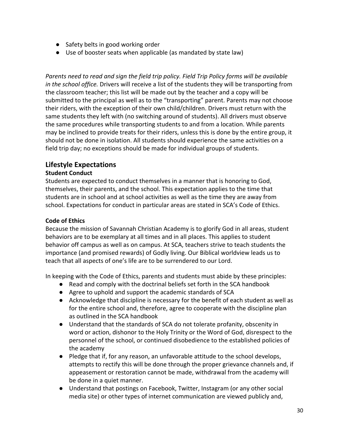- Safety belts in good working order
- Use of booster seats when applicable (as mandated by state law)

*Parents need to read and sign the field trip policy. Field Trip Policy forms will be available in the school office.* Drivers will receive a list of the students they will be transporting from the classroom teacher; this list will be made out by the teacher and a copy will be submitted to the principal as well as to the "transporting" parent. Parents may not choose their riders, with the exception of their own child/children. Drivers must return with the same students they left with (no switching around of students). All drivers must observe the same procedures while transporting students to and from a location. While parents may be inclined to provide treats for their riders, unless this is done by the entire group, it should not be done in isolation. All students should experience the same activities on a field trip day; no exceptions should be made for individual groups of students.

## **Lifestyle Expectations**

## **Student Conduct**

Students are expected to conduct themselves in a manner that is honoring to God, themselves, their parents, and the school. This expectation applies to the time that students are in school and at school activities as well as the time they are away from school. Expectations for conduct in particular areas are stated in SCA's Code of Ethics.

## **Code of Ethics**

Because the mission of Savannah Christian Academy is to glorify God in all areas, student behaviors are to be exemplary at all times and in all places. This applies to student behavior off campus as well as on campus. At SCA, teachers strive to teach students the importance (and promised rewards) of Godly living. Our Biblical worldview leads us to teach that all aspects of one's life are to be surrendered to our Lord.

In keeping with the Code of Ethics, parents and students must abide by these principles:

- **●** Read and comply with the doctrinal beliefs set forth in the SCA handbook
- Agree to uphold and support the academic standards of SCA
- Acknowledge that discipline is necessary for the benefit of each student as well as for the entire school and, therefore, agree to cooperate with the discipline plan as outlined in the SCA handbook
- Understand that the standards of SCA do not tolerate profanity, obscenity in word or action, dishonor to the Holy Trinity or the Word of God, disrespect to the personnel of the school, or continued disobedience to the established policies of the academy
- Pledge that if, for any reason, an unfavorable attitude to the school develops, attempts to rectify this will be done through the proper grievance channels and, if appeasement or restoration cannot be made, withdrawal from the academy will be done in a quiet manner.
- Understand that postings on Facebook, Twitter, Instagram (or any other social media site) or other types of internet communication are viewed publicly and,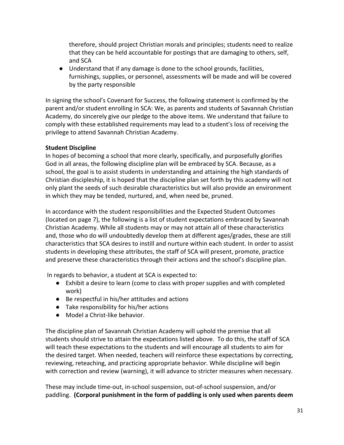therefore, should project Christian morals and principles; students need to realize that they can be held accountable for postings that are damaging to others, self, and SCA

● Understand that if any damage is done to the school grounds, facilities, furnishings, supplies, or personnel, assessments will be made and will be covered by the party responsible

In signing the school's Covenant for Success, the following statement is confirmed by the parent and/or student enrolling in SCA: We, as parents and students of Savannah Christian Academy, do sincerely give our pledge to the above items. We understand that failure to comply with these established requirements may lead to a student's loss of receiving the privilege to attend Savannah Christian Academy.

## **Student Discipline**

In hopes of becoming a school that more clearly, specifically, and purposefully glorifies God in all areas, the following discipline plan will be embraced by SCA. Because, as a school, the goal is to assist students in understanding and attaining the high standards of Christian discipleship, it is hoped that the discipline plan set forth by this academy will not only plant the seeds of such desirable characteristics but will also provide an environment in which they may be tended, nurtured, and, when need be, pruned.

In accordance with the student responsibilities and the Expected Student Outcomes (located on page 7), the following is a list of student expectations embraced by Savannah Christian Academy. While all students may or may not attain all of these characteristics and, those who do will undoubtedly develop them at different ages/grades, these are still characteristics that SCA desires to instill and nurture within each student. In order to assist students in developing these attributes, the staff of SCA will present, promote, practice and preserve these characteristics through their actions and the school's discipline plan.

In regards to behavior, a student at SCA is expected to:

- Exhibit a desire to learn (come to class with proper supplies and with completed work)
- Be respectful in his/her attitudes and actions
- Take responsibility for his/her actions
- Model a Christ-like behavior.

The discipline plan of Savannah Christian Academy will uphold the premise that all students should strive to attain the expectations listed above. To do this, the staff of SCA will teach these expectations to the students and will encourage all students to aim for the desired target. When needed, teachers will reinforce these expectations by correcting, reviewing, reteaching, and practicing appropriate behavior. While discipline will begin with correction and review (warning), it will advance to stricter measures when necessary.

These may include time-out, in-school suspension, out-of-school suspension, and/or paddling. **(Corporal punishment in the form of paddling is only used when parents deem**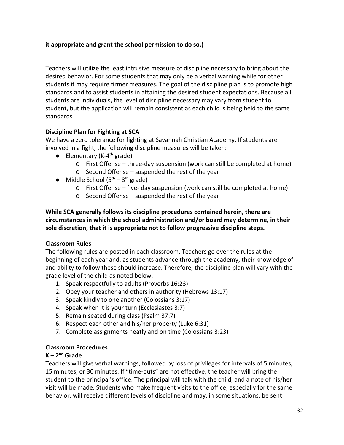## **it appropriate and grant the school permission to do so.)**

Teachers will utilize the least intrusive measure of discipline necessary to bring about the desired behavior. For some students that may only be a verbal warning while for other students it may require firmer measures. The goal of the discipline plan is to promote high standards and to assist students in attaining the desired student expectations. Because all students are individuals, the level of discipline necessary may vary from student to student, but the application will remain consistent as each child is being held to the same standards

#### **Discipline Plan for Fighting at SCA**

We have a zero tolerance for fighting at Savannah Christian Academy. If students are involved in a fight, the following discipline measures will be taken:

- $\bullet$  Elementary (K-4<sup>th</sup> grade)
	- o First Offense three-day suspension (work can still be completed at home)
	- o Second Offense suspended the rest of the year
- Middle School  $(5<sup>th</sup> 8<sup>th</sup>$  grade)
	- o First Offense five- day suspension (work can still be completed at home)
	- o Second Offense suspended the rest of the year

**While SCA generally follows its discipline procedures contained herein, there are circumstances in which the school administration and/or board may determine, in their sole discretion, that it is appropriate not to follow progressive discipline steps.**

#### **Classroom Rules**

The following rules are posted in each classroom. Teachers go over the rules at the beginning of each year and, as students advance through the academy, their knowledge of and ability to follow these should increase. Therefore, the discipline plan will vary with the grade level of the child as noted below.

- 1. Speak respectfully to adults (Proverbs 16:23)
- 2. Obey your teacher and others in authority (Hebrews 13:17)
- 3. Speak kindly to one another (Colossians 3:17)
- 4. Speak when it is your turn (Ecclesiastes 3:7)
- 5. Remain seated during class (Psalm 37:7)
- 6. Respect each other and his/her property (Luke 6:31)
- 7. Complete assignments neatly and on time (Colossians 3:23)

#### **Classroom Procedures**

#### **K – 2nd Grade**

Teachers will give verbal warnings, followed by loss of privileges for intervals of 5 minutes, 15 minutes, or 30 minutes. If "time-outs" are not effective, the teacher will bring the student to the principal's office. The principal will talk with the child, and a note of his/her visit will be made. Students who make frequent visits to the office, especially for the same behavior, will receive different levels of discipline and may, in some situations, be sent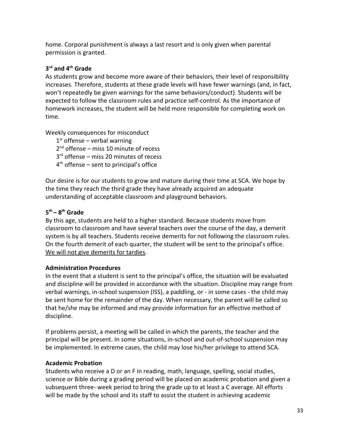home. Corporal punishment is always a last resort and is only given when parental permission is granted.

## **3 rd and 4th Grade**

As students grow and become more aware of their behaviors, their level of responsibility increases. Therefore, students at these grade levels will have fewer warnings (and, in fact, won't repeatedly be given warnings for the same behaviors/conduct). Students will be expected to follow the classroom rules and practice self-control. As the importance of homework increases, the student will be held more responsible for completing work on time.

Weekly consequences for misconduct

 $1<sup>st</sup>$  offense – verbal warning 2<sup>nd</sup> offense – miss 10 minute of recess 3<sup>rd</sup> offense – miss 20 minutes of recess 4th offense – sent to principal's office

Our desire is for our students to grow and mature during their time at SCA. We hope by the time they reach the third grade they have already acquired an adequate understanding of acceptable classroom and playground behaviors.

## **5 th – 8th Grade**

By this age, students are held to a higher standard. Because students move from classroom to classroom and have several teachers over the course of the day, a demerit system is by all teachers. Students receive demerits for not following the classroom rules. On the fourth demerit of each quarter, the student will be sent to the principal's office. We will not give demerits for tardies.

## **Administration Procedures**

In the event that a student is sent to the principal's office, the situation will be evaluated and discipline will be provided in accordance with the situation. Discipline may range from verbal warnings, in-school suspension (ISS), a paddling, or - in some cases - the child may be sent home for the remainder of the day. When necessary, the parent will be called so that he/she may be informed and may provide information for an effective method of discipline.

If problems persist, a meeting will be called in which the parents, the teacher and the principal will be present. In some situations, in-school and out-of-school suspension may be implemented. In extreme cases, the child may lose his/her privilege to attend SCA.

## **Academic Probation**

Students who receive a D or an F in reading, math, language, spelling, social studies, science or Bible during a grading period will be placed on academic probation and given a subsequent three- week period to bring the grade up to at least a C average. All efforts will be made by the school and its staff to assist the student in achieving academic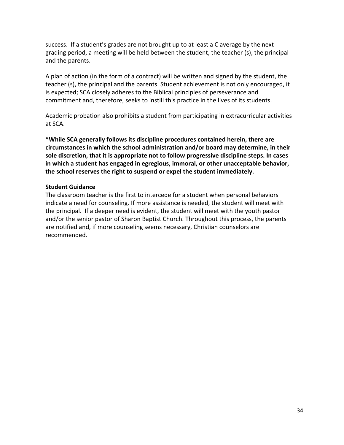success. If a student's grades are not brought up to at least a C average by the next grading period, a meeting will be held between the student, the teacher (s), the principal and the parents.

A plan of action (in the form of a contract) will be written and signed by the student, the teacher (s), the principal and the parents. Student achievement is not only encouraged, it is expected; SCA closely adheres to the Biblical principles of perseverance and commitment and, therefore, seeks to instill this practice in the lives of its students.

Academic probation also prohibits a student from participating in extracurricular activities at SCA.

**\*While SCA generally follows its discipline procedures contained herein, there are circumstances in which the school administration and/or board may determine, in their sole discretion, that it is appropriate not to follow progressive discipline steps. In cases in which a student has engaged in egregious, immoral, or other unacceptable behavior, the school reserves the right to suspend or expel the student immediately.**

#### **Student Guidance**

The classroom teacher is the first to intercede for a student when personal behaviors indicate a need for counseling. If more assistance is needed, the student will meet with the principal. If a deeper need is evident, the student will meet with the youth pastor and/or the senior pastor of Sharon Baptist Church. Throughout this process, the parents are notified and, if more counseling seems necessary, Christian counselors are recommended.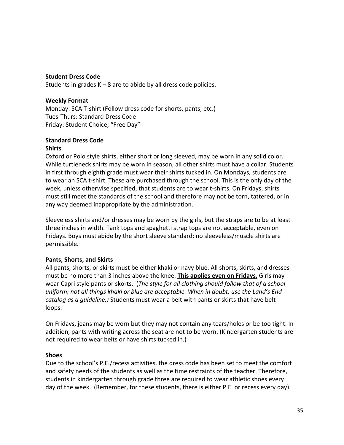#### **Student Dress Code**

Students in grades  $K - 8$  are to abide by all dress code policies.

#### **Weekly Format**

Monday: SCA T-shirt (Follow dress code for shorts, pants, etc.) Tues-Thurs: Standard Dress Code Friday: Student Choice; "Free Day"

## **Standard Dress Code**

#### **Shirts**

Oxford or Polo style shirts, either short or long sleeved, may be worn in any solid color. While turtleneck shirts may be worn in season, all other shirts must have a collar. Students in first through eighth grade must wear their shirts tucked in. On Mondays, students are to wear an SCA t-shirt. These are purchased through the school. This is the only day of the week, unless otherwise specified, that students are to wear t-shirts. On Fridays, shirts must still meet the standards of the school and therefore may not be torn, tattered, or in any way deemed inappropriate by the administration.

Sleeveless shirts and/or dresses may be worn by the girls, but the straps are to be at least three inches in width. Tank tops and spaghetti strap tops are not acceptable, even on Fridays. Boys must abide by the short sleeve standard; no sleeveless/muscle shirts are permissible.

#### **Pants, Shorts, and Skirts**

All pants, shorts, or skirts must be either khaki or navy blue. All shorts, skirts, and dresses must be no more than 3 inches above the knee. **This applies even on Fridays.** Girls may wear Capri style pants or skorts. (*The style for all clothing should follow that of a school uniform; not all things khaki or blue are acceptable. When in doubt, use the Land's End catalog as a guideline.)* Students must wear a belt with pants or skirts that have belt loops.

On Fridays, jeans may be worn but they may not contain any tears/holes or be too tight. In addition, pants with writing across the seat are not to be worn. (Kindergarten students are not required to wear belts or have shirts tucked in.)

#### **Shoes**

Due to the school's P.E./recess activities, the dress code has been set to meet the comfort and safety needs of the students as well as the time restraints of the teacher. Therefore, students in kindergarten through grade three are required to wear athletic shoes every day of the week. (Remember, for these students, there is either P.E. or recess every day).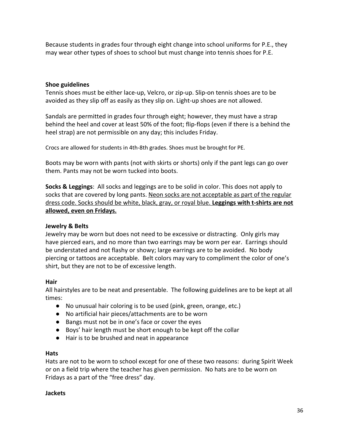Because students in grades four through eight change into school uniforms for P.E., they may wear other types of shoes to school but must change into tennis shoes for P.E.

## **Shoe guidelines**

Tennis shoes must be either lace-up, Velcro, or zip-up. Slip-on tennis shoes are to be avoided as they slip off as easily as they slip on. Light-up shoes are not allowed.

Sandals are permitted in grades four through eight; however, they must have a strap behind the heel and cover at least 50% of the foot; flip-flops (even if there is a behind the heel strap) are not permissible on any day; this includes Friday.

Crocs are allowed for students in 4th-8th grades. Shoes must be brought for PE.

Boots may be worn with pants (not with skirts or shorts) only if the pant legs can go over them. Pants may not be worn tucked into boots.

**Socks & Leggings**: All socks and leggings are to be solid in color. This does not apply to socks that are covered by long pants. Neon socks are not acceptable as part of the regular dress code. Socks should be white, black, gray, or royal blue. **Leggings with t-shirts are not allowed, even on Fridays.**

#### **Jewelry & Belts**

Jewelry may be worn but does not need to be excessive or distracting. Only girls may have pierced ears, and no more than two earrings may be worn per ear. Earrings should be understated and not flashy or showy; large earrings are to be avoided. No body piercing or tattoos are acceptable. Belt colors may vary to compliment the color of one's shirt, but they are not to be of excessive length.

#### **Hair**

All hairstyles are to be neat and presentable. The following guidelines are to be kept at all times:

- No unusual hair coloring is to be used (pink, green, orange, etc.)
- No artificial hair pieces/attachments are to be worn
- Bangs must not be in one's face or cover the eyes
- Boys' hair length must be short enough to be kept off the collar
- Hair is to be brushed and neat in appearance

#### **Hats**

Hats are not to be worn to school except for one of these two reasons: during Spirit Week or on a field trip where the teacher has given permission. No hats are to be worn on Fridays as a part of the "free dress" day.

#### **Jackets**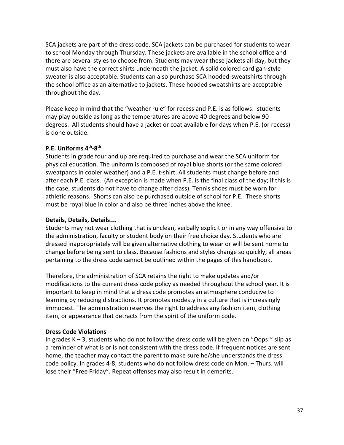SCA jackets are part of the dress code. SCA jackets can be purchased for students to wear to school Monday through Thursday. These jackets are available in the school office and there are several styles to choose from. Students may wear these jackets all day, but they must also have the correct shirts underneath the jacket. A solid colored cardigan-style sweater is also acceptable. Students can also purchase SCA hooded-sweatshirts through the school office as an alternative to jackets. These hooded sweatshirts are acceptable throughout the day.

Please keep in mind that the "weather rule" for recess and P.E. is as follows: students may play outside as long as the temperatures are above 40 degrees and below 90 degrees. All students should have a jacket or coat available for days when P.E. (or recess) is done outside.

## **P.E. Uniforms 4th -8th**

Students in grade four and up are required to purchase and wear the SCA uniform for physical education. The uniform is composed of royal blue shorts (or the same colored sweatpants in cooler weather) and a P.E. t-shirt. All students must change before and after each P.E. class. (An exception is made when P.E. is the final class of the day; if this is the case, students do not have to change after class). Tennis shoes must be worn for athletic reasons. Shorts can also be purchased outside of school for P.E. These shorts must be royal blue in color and also be three inches above the knee.

#### **Details, Details, Details**…

Students may not wear clothing that is unclean, verbally explicit or in any way offensive to the administration, faculty or student body on their free choice day. Students who are dressed inappropriately will be given alternative clothing to wear or will be sent home to change before being sent to class. Because fashions and styles change so quickly, all areas pertaining to the dress code cannot be outlined within the pages of this handbook.

Therefore, the administration of SCA retains the right to make updates and/or modifications to the current dress code policy as needed throughout the school year. It is important to keep in mind that a dress code promotes an atmosphere conducive to learning by reducing distractions. It promotes modesty in a culture that is increasingly immodest. The administration reserves the right to address any fashion item, clothing item, or appearance that detracts from the spirit of the uniform code.

#### **Dress Code Violations**

In grades  $K - 3$ , students who do not follow the dress code will be given an "Oops!" slip as a reminder of what is or is not consistent with the dress code. If frequent notices are sent home, the teacher may contact the parent to make sure he/she understands the dress code policy. In grades 4-8, students who do not follow dress code on Mon. – Thurs. will lose their "Free Friday". Repeat offenses may also result in demerits.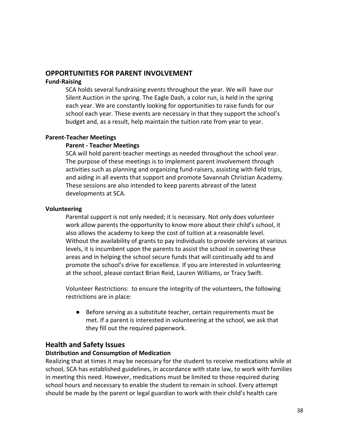#### **OPPORTUNITIES FOR PARENT INVOLVEMENT**

#### **Fund-Raising**

SCA holds several fundraising events throughout the year. We will have our Silent Auction in the spring. The Eagle Dash, a color run, is held in the spring each year. We are constantly looking for opportunities to raise funds for our school each year. These events are necessary in that they support the school's budget and, as a result, help maintain the tuition rate from year to year.

#### **Parent-Teacher Meetings**

#### **Parent - Teacher Meetings**

SCA will hold parent-teacher meetings as needed throughout the school year. The purpose of these meetings is to implement parent involvement through activities such as planning and organizing fund-raisers, assisting with field trips, and aiding in all events that support and promote Savannah Christian Academy. These sessions are also intended to keep parents abreast of the latest developments at SCA.

#### **Volunteering**

Parental support is not only needed; it is necessary. Not only does volunteer work allow parents the opportunity to know more about their child's school, it also allows the academy to keep the cost of tuition at a reasonable level. Without the availability of grants to pay individuals to provide services at various levels, it is incumbent upon the parents to assist the school in covering these areas and in helping the school secure funds that will continually add to and promote the school's drive for excellence. If you are interested in volunteering at the school, please contact Brian Reid, Lauren Williams, or Tracy Swift.

Volunteer Restrictions: to ensure the integrity of the volunteers, the following restrictions are in place:

● Before serving as a substitute teacher, certain requirements must be met. If a parent is interested in volunteering at the school, we ask that they fill out the required paperwork.

## **Health and Safety Issues**

#### **Distribution and Consumption of Medication**

Realizing that at times it may be necessary for the student to receive medications while at school, SCA has established guidelines, in accordance with state law, to work with families in meeting this need. However, medications must be limited to those required during school hours and necessary to enable the student to remain in school. Every attempt should be made by the parent or legal guardian to work with their child's health care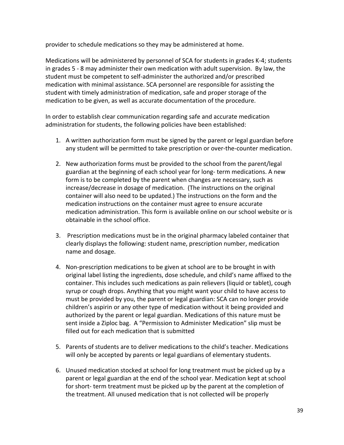provider to schedule medications so they may be administered at home.

Medications will be administered by personnel of SCA for students in grades K-4; students in grades 5 - 8 may administer their own medication with adult supervision. By law, the student must be competent to self-administer the authorized and/or prescribed medication with minimal assistance. SCA personnel are responsible for assisting the student with timely administration of medication, safe and proper storage of the medication to be given, as well as accurate documentation of the procedure.

In order to establish clear communication regarding safe and accurate medication administration for students, the following policies have been established:

- 1. A written authorization form must be signed by the parent or legal guardian before any student will be permitted to take prescription or over-the-counter medication.
- 2. New authorization forms must be provided to the school from the parent/legal guardian at the beginning of each school year for long- term medications. A new form is to be completed by the parent when changes are necessary, such as increase/decrease in dosage of medication. (The instructions on the original container will also need to be updated.) The instructions on the form and the medication instructions on the container must agree to ensure accurate medication administration. This form is available online on our school website or is obtainable in the school office.
- 3. Prescription medications must be in the original pharmacy labeled container that clearly displays the following: student name, prescription number, medication name and dosage.
- 4. Non-prescription medications to be given at school are to be brought in with original label listing the ingredients, dose schedule, and child's name affixed to the container. This includes such medications as pain relievers (liquid or tablet), cough syrup or cough drops. Anything that you might want your child to have access to must be provided by you, the parent or legal guardian: SCA can no longer provide children's aspirin or any other type of medication without it being provided and authorized by the parent or legal guardian. Medications of this nature must be sent inside a Ziploc bag. A "Permission to Administer Medication" slip must be filled out for each medication that is submitted
- 5. Parents of students are to deliver medications to the child's teacher. Medications will only be accepted by parents or legal guardians of elementary students.
- 6. Unused medication stocked at school for long treatment must be picked up by a parent or legal guardian at the end of the school year. Medication kept at school for short- term treatment must be picked up by the parent at the completion of the treatment. All unused medication that is not collected will be properly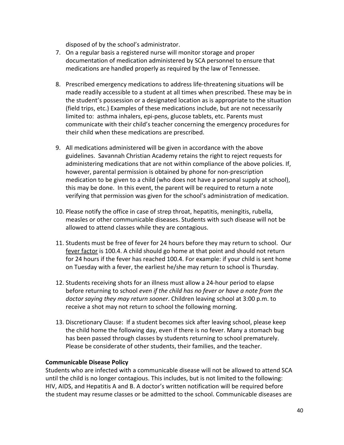disposed of by the school's administrator.

- 7. On a regular basis a registered nurse will monitor storage and proper documentation of medication administered by SCA personnel to ensure that medications are handled properly as required by the law of Tennessee.
- 8. Prescribed emergency medications to address life-threatening situations will be made readily accessible to a student at all times when prescribed. These may be in the student's possession or a designated location as is appropriate to the situation (field trips, etc.) Examples of these medications include, but are not necessarily limited to: asthma inhalers, epi-pens, glucose tablets, etc. Parents must communicate with their child's teacher concerning the emergency procedures for their child when these medications are prescribed.
- 9. All medications administered will be given in accordance with the above guidelines. Savannah Christian Academy retains the right to reject requests for administering medications that are not within compliance of the above policies. If, however, parental permission is obtained by phone for non-prescription medication to be given to a child (who does not have a personal supply at school), this may be done. In this event, the parent will be required to return a note verifying that permission was given for the school's administration of medication.
- 10. Please notify the office in case of strep throat, hepatitis, meningitis, rubella, measles or other communicable diseases. Students with such disease will not be allowed to attend classes while they are contagious.
- 11. Students must be free of fever for 24 hours before they may return to school. Our fever factor is 100.4. A child should go home at that point and should not return for 24 hours if the fever has reached 100.4. For example: if your child is sent home on Tuesday with a fever, the earliest he/she may return to school is Thursday.
- 12. Students receiving shots for an illness must allow a 24-hour period to elapse before returning to school *even if the child has no fever or have a note from the doctor saying they may return sooner*. Children leaving school at 3:00 p.m. to receive a shot may not return to school the following morning.
- 13. Discretionary Clause: If a student becomes sick after leaving school, please keep the child home the following day, even if there is no fever. Many a stomach bug has been passed through classes by students returning to school prematurely. Please be considerate of other students, their families, and the teacher.

#### **Communicable Disease Policy**

Students who are infected with a communicable disease will not be allowed to attend SCA until the child is no longer contagious. This includes, but is not limited to the following: HIV, AIDS, and Hepatitis A and B. A doctor's written notification will be required before the student may resume classes or be admitted to the school. Communicable diseases are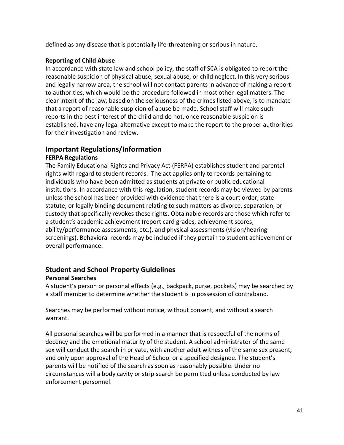defined as any disease that is potentially life-threatening or serious in nature.

#### **Reporting of Child Abuse**

In accordance with state law and school policy, the staff of SCA is obligated to report the reasonable suspicion of physical abuse, sexual abuse, or child neglect. In this very serious and legally narrow area, the school will not contact parents in advance of making a report to authorities, which would be the procedure followed in most other legal matters. The clear intent of the law, based on the seriousness of the crimes listed above, is to mandate that a report of reasonable suspicion of abuse be made. School staff will make such reports in the best interest of the child and do not, once reasonable suspicion is established, have any legal alternative except to make the report to the proper authorities for their investigation and review.

## **Important Regulations/Information**

#### **FERPA Regulations**

The Family Educational Rights and Privacy Act (FERPA) establishes student and parental rights with regard to student records. The act applies only to records pertaining to individuals who have been admitted as students at private or public educational institutions. In accordance with this regulation, student records may be viewed by parents unless the school has been provided with evidence that there is a court order, state statute, or legally binding document relating to such matters as divorce, separation, or custody that specifically revokes these rights. Obtainable records are those which refer to a student's academic achievement (report card grades, achievement scores, ability/performance assessments, etc.), and physical assessments (vision/hearing screenings). Behavioral records may be included if they pertain to student achievement or overall performance.

## **Student and School Property Guidelines Personal Searches**

A student's person or personal effects (e.g., backpack, purse, pockets) may be searched by a staff member to determine whether the student is in possession of contraband.

Searches may be performed without notice, without consent, and without a search warrant.

All personal searches will be performed in a manner that is respectful of the norms of decency and the emotional maturity of the student. A school administrator of the same sex will conduct the search in private, with another adult witness of the same sex present, and only upon approval of the Head of School or a specified designee. The student's parents will be notified of the search as soon as reasonably possible. Under no circumstances will a body cavity or strip search be permitted unless conducted by law enforcement personnel.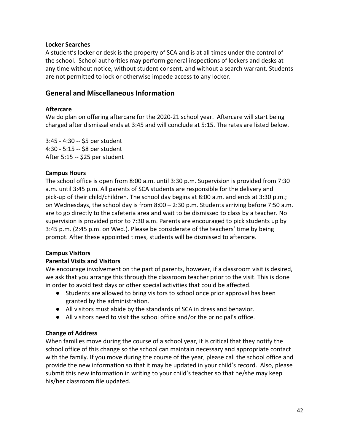#### **Locker Searches**

A student's locker or desk is the property of SCA and is at all times under the control of the school. School authorities may perform general inspections of lockers and desks at any time without notice, without student consent, and without a search warrant. Students are not permitted to lock or otherwise impede access to any locker.

## **General and Miscellaneous Information**

#### **Aftercare**

We do plan on offering aftercare for the 2020-21 school year. Aftercare will start being charged after dismissal ends at 3:45 and will conclude at 5:15. The rates are listed below.

3:45 - 4:30 -- \$5 per student 4:30 - 5:15 -- \$8 per student After 5:15 -- \$25 per student

#### **Campus Hours**

The school office is open from 8:00 a.m. until 3:30 p.m. Supervision is provided from 7:30 a.m. until 3:45 p.m. All parents of SCA students are responsible for the delivery and pick-up of their child/children. The school day begins at 8:00 a.m. and ends at 3:30 p.m.; on Wednesdays, the school day is from 8:00 – 2:30 p.m. Students arriving before 7:50 a.m. are to go directly to the cafeteria area and wait to be dismissed to class by a teacher. No supervision is provided prior to 7:30 a.m. Parents are encouraged to pick students up by 3:45 p.m. (2:45 p.m. on Wed.). Please be considerate of the teachers' time by being prompt. After these appointed times, students will be dismissed to aftercare.

#### **Campus Visitors**

## **Parental Visits and Visitors**

We encourage involvement on the part of parents, however, if a classroom visit is desired, we ask that you arrange this through the classroom teacher prior to the visit. This is done in order to avoid test days or other special activities that could be affected.

- Students are allowed to bring visitors to school once prior approval has been granted by the administration.
- All visitors must abide by the standards of SCA in dress and behavior.
- All visitors need to visit the school office and/or the principal's office.

#### **Change of Address**

When families move during the course of a school year, it is critical that they notify the school office of this change so the school can maintain necessary and appropriate contact with the family. If you move during the course of the year, please call the school office and provide the new information so that it may be updated in your child's record. Also, please submit this new information in writing to your child's teacher so that he/she may keep his/her classroom file updated.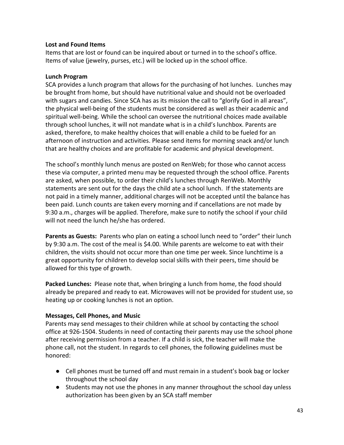#### **Lost and Found Items**

Items that are lost or found can be inquired about or turned in to the school's office. Items of value (jewelry, purses, etc.) will be locked up in the school office.

#### **Lunch Program**

SCA provides a lunch program that allows for the purchasing of hot lunches. Lunches may be brought from home, but should have nutritional value and should not be overloaded with sugars and candies. Since SCA has as its mission the call to "glorify God in all areas", the physical well-being of the students must be considered as well as their academic and spiritual well-being. While the school can oversee the nutritional choices made available through school lunches, it will not mandate what is in a child's lunchbox. Parents are asked, therefore, to make healthy choices that will enable a child to be fueled for an afternoon of instruction and activities. Please send items for morning snack and/or lunch that are healthy choices and are profitable for academic and physical development.

The school's monthly lunch menus are posted on RenWeb; for those who cannot access these via computer, a printed menu may be requested through the school office. Parents are asked, when possible, to order their child's lunches through RenWeb. Monthly statements are sent out for the days the child ate a school lunch. If the statements are not paid in a timely manner, additional charges will not be accepted until the balance has been paid. Lunch counts are taken every morning and if cancellations are not made by 9:30 a.m., charges will be applied. Therefore, make sure to notify the school if your child will not need the lunch he/she has ordered.

**Parents as Guests:** Parents who plan on eating a school lunch need to "order" their lunch by 9:30 a.m. The cost of the meal is \$4.00. While parents are welcome to eat with their children, the visits should not occur more than one time per week. Since lunchtime is a great opportunity for children to develop social skills with their peers, time should be allowed for this type of growth.

**Packed Lunches:** Please note that, when bringing a lunch from home, the food should already be prepared and ready to eat. Microwaves will not be provided for student use, so heating up or cooking lunches is not an option.

#### **Messages, Cell Phones, and Music**

Parents may send messages to their children while at school by contacting the school office at 926-1504. Students in need of contacting their parents may use the school phone after receiving permission from a teacher. If a child is sick, the teacher will make the phone call, not the student. In regards to cell phones, the following guidelines must be honored:

- Cell phones must be turned off and must remain in a student's book bag or locker throughout the school day
- Students may not use the phones in any manner throughout the school day unless authorization has been given by an SCA staff member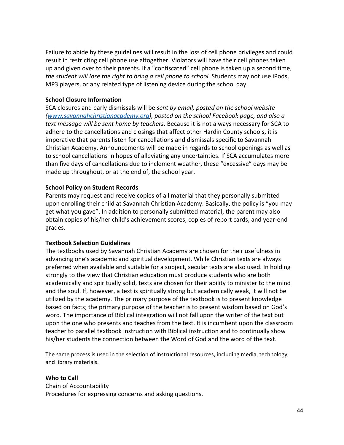Failure to abide by these guidelines will result in the loss of cell phone privileges and could result in restricting cell phone use altogether. Violators will have their cell phones taken up and given over to their parents. If a "confiscated" cell phone is taken up a second time, *the student will lose the right to bring a cell phone to school.* Students may not use iPods, MP3 players, or any related type of listening device during the school day.

#### **School Closure Information**

SCA closures and early dismissals will be *sent by email, posted on the school website ([www.savannahchristianacademy.org\)](http://www.savannahchristianacademy.org/), posted on the school Facebook page, and also a text message will be sent home by teachers*. Because it is not always necessary for SCA to adhere to the cancellations and closings that affect other Hardin County schools, it is imperative that parents listen for cancellations and dismissals specific to Savannah Christian Academy. Announcements will be made in regards to school openings as well as to school cancellations in hopes of alleviating any uncertainties. If SCA accumulates more than five days of cancellations due to inclement weather, these "excessive" days may be made up throughout, or at the end of, the school year.

#### **School Policy on Student Records**

Parents may request and receive copies of all material that they personally submitted upon enrolling their child at Savannah Christian Academy. Basically, the policy is "you may get what you gave". In addition to personally submitted material, the parent may also obtain copies of his/her child's achievement scores, copies of report cards, and year-end grades.

#### **Textbook Selection Guidelines**

The textbooks used by Savannah Christian Academy are chosen for their usefulness in advancing one's academic and spiritual development. While Christian texts are always preferred when available and suitable for a subject, secular texts are also used. In holding strongly to the view that Christian education must produce students who are both academically and spiritually solid, texts are chosen for their ability to minister to the mind and the soul. If, however, a text is spiritually strong but academically weak, it will not be utilized by the academy. The primary purpose of the textbook is to present knowledge based on facts; the primary purpose of the teacher is to present wisdom based on God's word. The importance of Biblical integration will not fall upon the writer of the text but upon the one who presents and teaches from the text. It is incumbent upon the classroom teacher to parallel textbook instruction with Biblical instruction and to continually show his/her students the connection between the Word of God and the word of the text.

The same process is used in the selection of instructional resources, including media, technology, and library materials.

#### **Who to Call**

Chain of Accountability Procedures for expressing concerns and asking questions.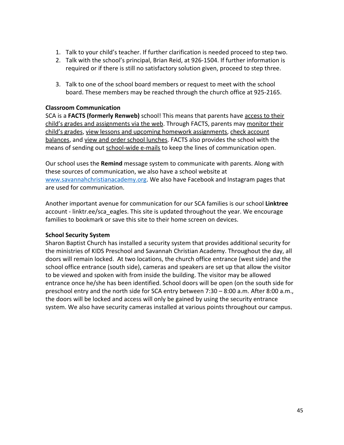- 1. Talk to your child's teacher. If further clarification is needed proceed to step two.
- 2. Talk with the school's principal, Brian Reid, at 926-1504. If further information is required or if there is still no satisfactory solution given, proceed to step three.
- 3. Talk to one of the school board members or request to meet with the school board. These members may be reached through the church office at 925-2165.

#### **Classroom Communication**

SCA is a **FACTS (formerly Renweb)** school! This means that parents have access to their child's grades and assignments via the web. Through FACTS, parents may monitor their child's grades, view lessons and upcoming homework assignments, check account balances, and view and order school lunches. FACTS also provides the school with the means of sending out school-wide e-mails to keep the lines of communication open.

Our school uses the **Remind** message system to communicate with parents. Along with these sources of communication, we also have a school website at [www.savannahchristianacademy.org.](http://www.savannahchristianacademy.org/) We also have Facebook and Instagram pages that are used for communication.

Another important avenue for communication for our SCA families is our school **Linktree** account - linktr.ee/sca\_eagles. This site is updated throughout the year. We encourage families to bookmark or save this site to their home screen on devices.

#### **School Security System**

Sharon Baptist Church has installed a security system that provides additional security for the ministries of KIDS Preschool and Savannah Christian Academy. Throughout the day, all doors will remain locked. At two locations, the church office entrance (west side) and the school office entrance (south side), cameras and speakers are set up that allow the visitor to be viewed and spoken with from inside the building. The visitor may be allowed entrance once he/she has been identified. School doors will be open (on the south side for preschool entry and the north side for SCA entry between 7:30 – 8:00 a.m. After 8:00 a.m., the doors will be locked and access will only be gained by using the security entrance system. We also have security cameras installed at various points throughout our campus.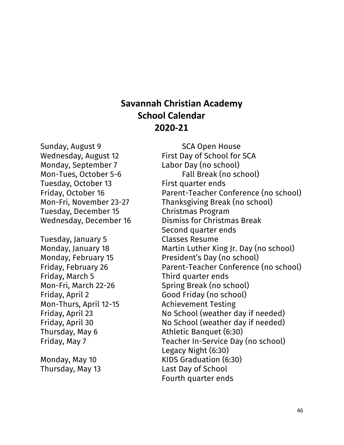# **Savannah Christian Academy School Calendar 2020-21**

Sunday, August 9 SCA Open House Monday, September 7 Labor Day (no school) Tuesday, October 13 First quarter ends Tuesday, December 15 Christmas Program

Tuesday, January 5 Classes Resume Friday, March 5 Third quarter ends Mon-Thurs, April 12-15 Achievement Testing

Wednesday, August 12 First Day of School for SCA Mon-Tues, October 5-6 Fall Break (no school) Friday, October 16 Parent-Teacher Conference (no school) Mon-Fri, November 23-27 Thanksgiving Break (no school) Wednesday, December 16 Dismiss for Christmas Break Second quarter ends Monday, January 18 Martin Luther King Jr. Day (no school) Monday, February 15 President's Day (no school) Friday, February 26 Parent-Teacher Conference (no school) Mon-Fri, March 22-26 Spring Break (no school) Friday, April 2 Good Friday (no school) Friday, April 23 No School (weather day if needed) Friday, April 30 No School (weather day if needed) Thursday, May 6 Athletic Banquet (6:30) Friday, May 7 Teacher In-Service Day (no school) Legacy Night (6:30) Monday, May 10 KIDS Graduation (6:30) Thursday, May 13 Last Day of School Fourth quarter ends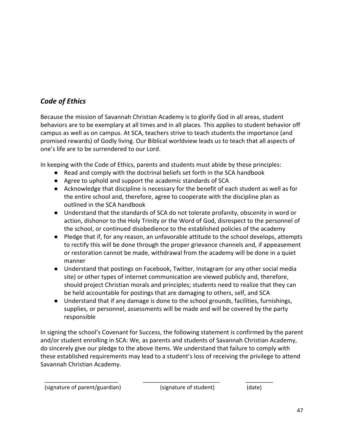## *Code of Ethics*

Because the mission of Savannah Christian Academy is to glorify God in all areas, student behaviors are to be exemplary at all times and in all places. This applies to student behavior off campus as well as on campus. At SCA, teachers strive to teach students the importance (and promised rewards) of Godly living. Our Biblical worldview leads us to teach that all aspects of one's life are to be surrendered to our Lord.

In keeping with the Code of Ethics, parents and students must abide by these principles:

- **●** Read and comply with the doctrinal beliefs set forth in the SCA handbook
- Agree to uphold and support the academic standards of SCA
- Acknowledge that discipline is necessary for the benefit of each student as well as for the entire school and, therefore, agree to cooperate with the discipline plan as outlined in the SCA handbook
- Understand that the standards of SCA do not tolerate profanity, obscenity in word or action, dishonor to the Holy Trinity or the Word of God, disrespect to the personnel of the school, or continued disobedience to the established policies of the academy
- Pledge that if, for any reason, an unfavorable attitude to the school develops, attempts to rectify this will be done through the proper grievance channels and, if appeasement or restoration cannot be made, withdrawal from the academy will be done in a quiet manner
- Understand that postings on Facebook, Twitter, Instagram (or any other social media site) or other types of internet communication are viewed publicly and, therefore, should project Christian morals and principles; students need to realize that they can be held accountable for postings that are damaging to others, self, and SCA
- Understand that if any damage is done to the school grounds, facilities, furnishings, supplies, or personnel, assessments will be made and will be covered by the party responsible

In signing the school's Covenant for Success, the following statement is confirmed by the parent and/or student enrolling in SCA: We, as parents and students of Savannah Christian Academy, do sincerely give our pledge to the above items. We understand that failure to comply with these established requirements may lead to a student's loss of receiving the privilege to attend Savannah Christian Academy.

\_\_\_\_\_\_\_\_\_\_\_\_\_\_\_\_\_\_\_\_\_\_\_\_ \_\_\_\_\_\_\_\_\_\_\_\_\_\_\_\_\_\_\_\_\_\_\_\_\_ \_\_\_\_\_\_\_\_\_

(signature of parent/guardian) (signature of student) (date)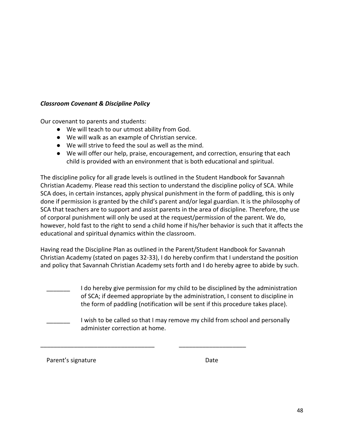## *Classroom Covenant & Discipline Policy*

Our covenant to parents and students:

- We will teach to our utmost ability from God.
- We will walk as an example of Christian service.
- We will strive to feed the soul as well as the mind.
- We will offer our help, praise, encouragement, and correction, ensuring that each child is provided with an environment that is both educational and spiritual.

The discipline policy for all grade levels is outlined in the Student Handbook for Savannah Christian Academy. Please read this section to understand the discipline policy of SCA. While SCA does, in certain instances, apply physical punishment in the form of paddling, this is only done if permission is granted by the child's parent and/or legal guardian. It is the philosophy of SCA that teachers are to support and assist parents in the area of discipline. Therefore, the use of corporal punishment will only be used at the request/permission of the parent. We do, however, hold fast to the right to send a child home if his/her behavior is such that it affects the educational and spiritual dynamics within the classroom.

Having read the Discipline Plan as outlined in the Parent/Student Handbook for Savannah Christian Academy (stated on pages 32-33), I do hereby confirm that I understand the position and policy that Savannah Christian Academy sets forth and I do hereby agree to abide by such.

- I do hereby give permission for my child to be disciplined by the administration of SCA; if deemed appropriate by the administration, I consent to discipline in the form of paddling (notification will be sent if this procedure takes place).
- I wish to be called so that I may remove my child from school and personally administer correction at home.

\_\_\_\_\_\_\_\_\_\_\_\_\_\_\_\_\_\_\_\_\_\_\_\_\_\_\_\_\_\_\_\_\_\_ \_\_\_\_\_\_\_\_\_\_\_\_\_\_\_\_\_\_\_\_

Parent's signature Date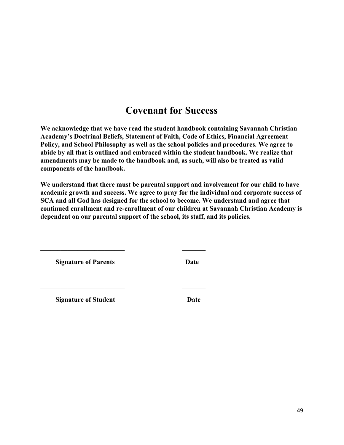# **Covenant for Success**

**We acknowledge that we have read the student handbook containing Savannah Christian Academy's Doctrinal Beliefs, Statement of Faith, Code of Ethics, Financial Agreement Policy, and School Philosophy as well as the school policies and procedures. We agree to abide by all that is outlined and embraced within the student handbook. We realize that amendments may be made to the handbook and, as such, will also be treated as valid components of the handbook.**

**We understand that there must be parental support and involvement for our child to have academic growth and success. We agree to pray for the individual and corporate success of SCA and all God has designed for the school to become. We understand and agree that continued enrollment and re-enrollment of our children at Savannah Christian Academy is dependent on our parental support of the school, its staff, and its policies.** 

**Signature of Parents** Date

 $\mathcal{L}_\text{max}$  , and the contract of the contract of the contract of the contract of the contract of the contract of

 $\mathcal{L}_\text{max}$  , and the contract of the contract of the contract of the contract of the contract of the contract of

**Signature of Student Date Date**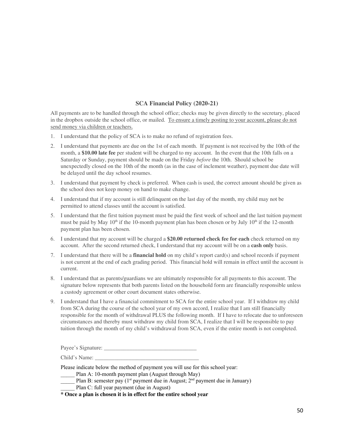#### **SCA Financial Policy (2020-21)**

All payments are to be handled through the school office; checks may be given directly to the secretary, placed in the dropbox outside the school office, or mailed. To ensure a timely posting to your account, please do not send money via children or teachers.

- 1. I understand that the policy of SCA is to make no refund of registration fees.
- 2. I understand that payments are due on the 1st of each month. If payment is not received by the 10th of the month, a **\$10.00 late fee** per student will be charged to my account. In the event that the 10th falls on a Saturday or Sunday, payment should be made on the Friday *before* the 10th. Should school be unexpectedly closed on the 10th of the month (as in the case of inclement weather), payment due date will be delayed until the day school resumes.
- 3. I understand that payment by check is preferred. When cash is used, the correct amount should be given as the school does not keep money on hand to make change.
- 4. I understand that if my account is still delinquent on the last day of the month, my child may not be permitted to attend classes until the account is satisfied.
- 5. I understand that the first tuition payment must be paid the first week of school and the last tuition payment must be paid by May  $10<sup>th</sup>$  if the 10-month payment plan has been chosen or by July  $10<sup>th</sup>$  if the 12-month payment plan has been chosen.
- 6. I understand that my account will be charged a **\$20.00 returned check fee for each** check returned on my account. After the second returned check, I understand that my account will be on a **cash only** basis.
- 7. I understand that there will be a **financial hold** on my child's report card(s) and school records if payment is not current at the end of each grading period. This financial hold will remain in effect until the account is current.
- 8. I understand that as parents/guardians we are ultimately responsible for all payments to this account. The signature below represents that both parents listed on the household form are financially responsible unless a custody agreement or other court document states otherwise.
- 9. I understand that I have a financial commitment to SCA for the entire school year. If I withdraw my child from SCA during the course of the school year of my own accord, I realize that I am still financially responsible for the month of withdrawal PLUS the following month. If I have to relocate due to unforeseen circumstances and thereby must withdraw my child from SCA, I realize that I will be responsible to pay tuition through the month of my child's withdrawal from SCA, even if the entire month is not completed.

Payee's Signature: \_\_\_\_\_\_\_\_\_\_\_\_\_\_\_\_\_\_\_\_\_\_\_\_\_\_\_\_\_\_\_\_\_

Child's Name:

Please indicate below the method of payment you will use for this school year:

Plan A: 10-month payment plan (August through May)

Plan B: semester pay ( $1<sup>st</sup>$  payment due in August;  $2<sup>nd</sup>$  payment due in January)

Plan C: full year payment (due in August)

**\* Once a plan is chosen it is in effect for the entire school year**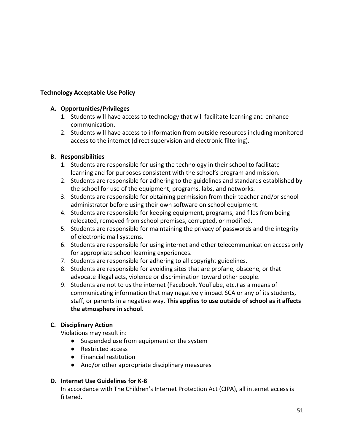## **Technology Acceptable Use Policy**

#### **A. Opportunities/Privileges**

- 1. Students will have access to technology that will facilitate learning and enhance communication.
- 2. Students will have access to information from outside resources including monitored access to the internet (direct supervision and electronic filtering).

## **B. Responsibilities**

- 1. Students are responsible for using the technology in their school to facilitate learning and for purposes consistent with the school's program and mission.
- 2. Students are responsible for adhering to the guidelines and standards established by the school for use of the equipment, programs, labs, and networks.
- 3. Students are responsible for obtaining permission from their teacher and/or school administrator before using their own software on school equipment.
- 4. Students are responsible for keeping equipment, programs, and files from being relocated, removed from school premises, corrupted, or modified.
- 5. Students are responsible for maintaining the privacy of passwords and the integrity of electronic mail systems.
- 6. Students are responsible for using internet and other telecommunication access only for appropriate school learning experiences.
- 7. Students are responsible for adhering to all copyright guidelines.
- 8. Students are responsible for avoiding sites that are profane, obscene, or that advocate illegal acts, violence or discrimination toward other people.
- 9. Students are not to us the internet (Facebook, YouTube, etc.) as a means of communicating information that may negatively impact SCA or any of its students, staff, or parents in a negative way. **This applies to use outside of school as it affects the atmosphere in school.**

## **C. Disciplinary Action**

Violations may result in:

- Suspended use from equipment or the system
- Restricted access
- Financial restitution
- And/or other appropriate disciplinary measures

## **D. Internet Use Guidelines for K-8**

In accordance with The Children's Internet Protection Act (CIPA), all internet access is filtered.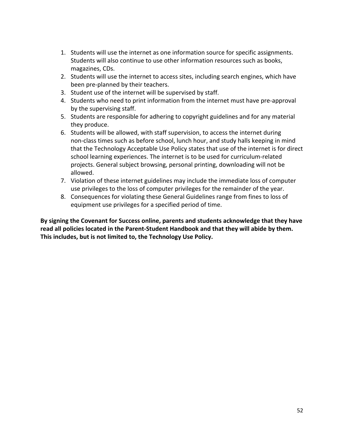- 1. Students will use the internet as one information source for specific assignments. Students will also continue to use other information resources such as books, magazines, CDs.
- 2. Students will use the internet to access sites, including search engines, which have been pre-planned by their teachers.
- 3. Student use of the internet will be supervised by staff.
- 4. Students who need to print information from the internet must have pre-approval by the supervising staff.
- 5. Students are responsible for adhering to copyright guidelines and for any material they produce.
- 6. Students will be allowed, with staff supervision, to access the internet during non-class times such as before school, lunch hour, and study halls keeping in mind that the Technology Acceptable Use Policy states that use of the internet is for direct school learning experiences. The internet is to be used for curriculum-related projects. General subject browsing, personal printing, downloading will not be allowed.
- 7. Violation of these internet guidelines may include the immediate loss of computer use privileges to the loss of computer privileges for the remainder of the year.
- 8. Consequences for violating these General Guidelines range from fines to loss of equipment use privileges for a specified period of time.

**By signing the Covenant for Success online, parents and students acknowledge that they have read all policies located in the Parent-Student Handbook and that they will abide by them. This includes, but is not limited to, the Technology Use Policy.**